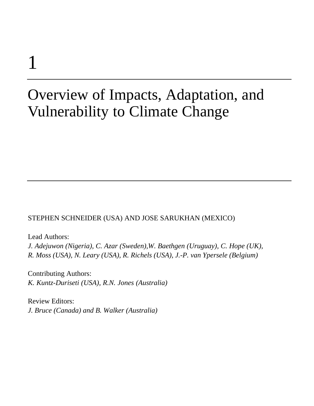# 1

## Overview of Impacts, Adaptation, and Vulnerability to Climate Change

### STEPHEN SCHNEIDER (USA) AND JOSE SARUKHAN (MEXICO)

Lead Authors: *J. Adejuwon (Nigeria), C. Azar (Sweden),W. Baethgen (Uruguay), C. Hope (UK), R. Moss (USA), N. Leary (USA), R. Richels (USA), J.-P. van Ypersele (Belgium)*

Contributing Authors: *K. Kuntz-Duriseti (USA), R.N. Jones (Australia)*

Review Editors: *J. Bruce (Canada) and B. Walker (Australia)*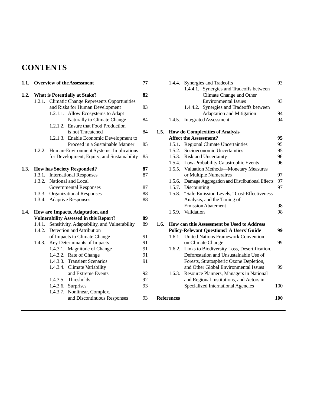## **CONTENTS**

|      | 1.1. Overview of the Assessment               |                                                            |    |     |
|------|-----------------------------------------------|------------------------------------------------------------|----|-----|
| 1.2. |                                               | <b>What is Potentially at Stake?</b>                       |    |     |
|      |                                               | 1.2.1. Climatic Change Represents Opportunities            |    |     |
|      |                                               | and Risks for Human Development                            | 83 |     |
|      |                                               | 1.2.1.1. Allow Ecosystems to Adapt                         |    |     |
|      |                                               | Naturally to Climate Change                                | 84 |     |
|      |                                               | 1.2.1.2. Ensure that Food Production                       |    |     |
|      |                                               | is not Threatened                                          | 84 | 1.5 |
|      |                                               | 1.2.1.3. Enable Economic Development to                    |    |     |
|      |                                               | Proceed in a Sustainable Manner                            | 85 |     |
|      |                                               | 1.2.2. Human-Environment Systems: Implications             |    |     |
|      |                                               | for Development, Equity, and Sustainability                | 85 |     |
| 1.3. |                                               | <b>How has Society Responded?</b>                          | 87 |     |
|      |                                               | 1.3.1. International Responses                             | 87 |     |
|      |                                               | 1.3.2. National and Local<br><b>Governmental Responses</b> |    |     |
|      |                                               |                                                            |    |     |
|      |                                               | 1.3.3. Organizational Responses                            | 88 |     |
|      |                                               | 1.3.4. Adaptive Responses                                  | 88 |     |
| 1.4. |                                               | How are Impacts, Adaptation, and                           |    |     |
|      | <b>Vulnerability Assessed in this Report?</b> | 89                                                         |    |     |
|      |                                               | 1.4.1. Sensitivity, Adaptability, and Vulnerability        |    | 1.0 |
|      |                                               | 1.4.2. Detection and Attribution                           |    |     |
|      |                                               | of Impacts to Climate Change                               | 91 |     |
|      | 1.4.3.                                        | Key Determinants of Impacts                                | 91 |     |
|      |                                               | 1.4.3.1. Magnitude of Change                               | 91 |     |
|      |                                               | 1.4.3.2. Rate of Change                                    | 91 |     |
|      |                                               | 1.4.3.3. Transient Scenarios                               | 91 |     |
|      |                                               | 1.4.3.4. Climate Variability                               |    |     |
|      |                                               | and Extreme Events                                         | 92 |     |
|      |                                               | 1.4.3.5. Thresholds                                        | 92 |     |
|      |                                               | 1.4.3.6. Surprises                                         | 93 |     |
|      |                                               | 1.4.3.7. Nonlinear, Complex,                               |    |     |
|      |                                               | and Discontinuous Responses                                | 93 | R٥  |
|      |                                               |                                                            |    |     |

|      | 1.4.4.            | Synergies and Tradeoffs                         |     |  |
|------|-------------------|-------------------------------------------------|-----|--|
|      |                   | 1.4.4.1. Synergies and Tradeoffs between        |     |  |
|      |                   | Climate Change and Other                        |     |  |
|      |                   | <b>Environmental Issues</b>                     | 93  |  |
|      |                   | 1.4.4.2. Synergies and Tradeoffs between        |     |  |
|      |                   | <b>Adaptation and Mitigation</b>                | 94  |  |
|      | 1.4.5.            | <b>Integrated Assessment</b>                    | 94  |  |
| 1.5. |                   | <b>How do Complexities of Analysis</b>          |     |  |
|      |                   | <b>Affect the Assessment?</b>                   | 95  |  |
|      |                   | 1.5.1. Regional Climate Uncertainties           | 95  |  |
|      |                   | 1.5.2. Socioeconomic Uncertainties              | 95  |  |
|      |                   | 1.5.3. Risk and Uncertainty                     | 96  |  |
|      |                   | 1.5.4. Low-Probability Catastrophic Events      | 96  |  |
|      | 1.5.5.            | <b>Valuation Methods-Monetary Measures</b>      |     |  |
|      |                   | or Multiple Numeraires                          | 97  |  |
|      | 1.5.6.            | Damage Aggregation and Distributional Effects   | 97  |  |
|      | 1.5.7.            | Discounting                                     | 97  |  |
|      | 1.5.8.            | "Safe Emission Levels," Cost-Effectiveness      |     |  |
|      |                   | Analysis, and the Timing of                     |     |  |
|      |                   | <b>Emission Abatement</b>                       | 98  |  |
|      | 1.5.9.            | Validation                                      | 98  |  |
| 1.6. |                   | How can this Assessment be Used to Address      |     |  |
|      |                   | <b>Policy-Relevant Questions? A Users'Guide</b> | 99  |  |
|      | 1.6.1.            | <b>United Nations Framework Convention</b>      |     |  |
|      |                   | on Climate Change                               | 99  |  |
|      | 1.6.2.            | Links to Biodiversity Loss, Desertification,    |     |  |
|      |                   | Deforestation and Unsustainable Use of          |     |  |
|      |                   | Forests, Stratospheric Ozone Depletion,         |     |  |
|      |                   | and Other Global Environmental Issues           | 99  |  |
|      | 1.6.3.            | Resource Planners, Managers in National         |     |  |
|      |                   | and Regional Institutions, and Actors in        |     |  |
|      |                   | Specialized International Agencies              | 100 |  |
|      | <b>References</b> |                                                 | 100 |  |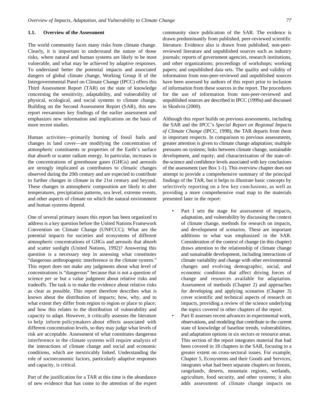#### **1.1. Overview of the Assessment**

The world community faces many risks from climate change. Clearly, it is important to understand the nature of those risks, where natural and human systems are likely to be most vulnerable, and what may be achieved by adaptive responses. To understand better the potential impacts and associated dangers of global climate change, Working Group II of the Intergovernmental Panel on Climate Change (IPCC) offers this Third Assessment Report (TAR) on the state of knowledge concerning the sensitivity, adaptability, and vulnerability of physical, ecological, and social systems to climate change. Building on the Second Assessment Report (SAR), this new report reexamines key findings of the earlier assessment and emphasizes new information and implications on the basis of more recent studies.

Human activities—primarily burning of fossil fuels and changes in land cover—are modifying the concentration of atmospheric constituents or properties of the Earth's surface that absorb or scatter radiant energy. In particular, increases in the concentrations of greenhouse gases (GHGs) and aerosols are strongly implicated as contributors to climatic changes observed during the 20th century and are expected to contribute to further changes in climate in the 21st century and beyond. These changes in atmospheric composition are likely to alter temperatures, precipitation patterns, sea level, extreme events, and other aspects of climate on which the natural environment and human systems depend.

One of several primary issues this report has been organized to address is a key question before the United Nations Framework Convention on Climate Change (UNFCCC): What are the potential impacts for societies and ecosystems of different atmospheric concentrations of GHGs and aerosols that absorb and scatter sunlight (United Nations, 1992)? Answering this question is a necessary step in assessing what constitutes " dangerous anthropogenic interference in the climate system." This report does not make any judgments about what level of concentrations is "dangerous" because that is not a question of science *per se* but a value judgment about relative risks and tradeoffs. The task is to make the evidence about relative risks as clear as possible. This report therefore describes what is known about the distribution of impacts; how, why, and to what extent they differ from region to region or place to place; and how this relates to the distribution of vulnerability and capacity to adapt. However, it critically assesses the literature to help inform policymakers about effects associated with different concentration levels, so they may judge what levels of risk are acceptable. Assessment of what constitutes dangerous interference in the climate systems will require analysis of the interactions of climate change and social and economic conditions, which are inextricably linked. Understanding the role of socioeconomic factors, particularly adaptive responses and capacity, is critical.

Part of the justification for a TAR at this time is the abundance of new evidence that has come to the attention of the expert

community since publication of the SAR. The evidence is drawn predominantly from published, peer-reviewed scientific literature. Evidence also is drawn from published, non-peerreviewed literature and unpublished sources such as industry journals; reports of government agencies, research institutions, and other organizations; proceedings of workshops; working papers; and unpublished data sets. The quality and validity of information from non-peer-reviewed and unpublished sources have been assessed by authors of this report prior to inclusion of information from these sources in the report. The procedures for the use of information from non-peer-reviewed and unpublished sources are described in IPCC (1999a) and discussed in Skodvin (2000).

Although this report builds on previous assessments, including the SAR and the IPCC's *Special Report on Regional Impacts of Climate Change* (IPCC, 1998), the TAR departs from them in important respects. In comparison to previous assessments, greater attention is given to climate change adaptation; multiple pressures on systems; links between climate change, sustainable development, and equity; and characterization of the state-ofthe-science and confidence levels associated with key conclusions of the assessment (see Box 1-1). This overview chapter does not attempt to provide a comprehensive summary of the principal findings of the TAR, but it helps to illustrate basic concepts by selectively reporting on a few key conclusions, as well as providing a more comprehensive road map to the materials presented later in the report:

- Part I sets the stage for assessment of impacts, adaptation, and vulnerability by discussing the context of climate change, methods for research on impacts, and development of scenarios. These are important additions to what was emphasized in the SAR. Consideration of the context of change (in this chapter) draws attention to the relationship of climate change and sustainable development, including interactions of climate variability and change with other environmental changes and evolving demographic, social, and economic conditions that affect driving forces of change and resources available for adaptation. Assessment of methods (Chapter 2) and approaches for developing and applying scenarios (Chapter 3) cover scientific and technical aspects of research on impacts, providing a review of the science underlying the topics covered in other chapters of the report.
- Part II assesses recent advances in experimental work, observations, and modeling that contribute to the current state of knowledge of baseline trends, vulnerabilities, and adaptation options in six sectors or resource areas. This section of the report integrates material that had been covered in 18 chapters in the SAR, focusing to a greater extent on cross-sectoral issues. For example, Chapter 5, Ecosystems and their Goods and Services, integrates what had been separate chapters on forests, rangelands, deserts, mountain regions, wetlands, agriculture, food security, and other systems; it also adds assessment of climate change impacts on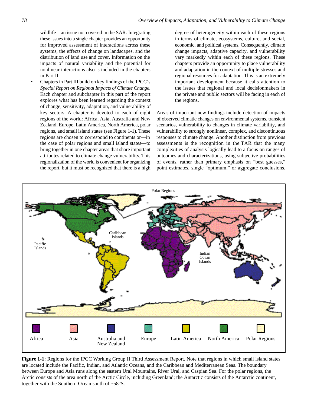wildlife—an issue not covered in the SAR. Integrating these issues into a single chapter provides an opportunity for improved assessment of interactions across these systems, the effects of change on landscapes, and the distribution of land use and cover. Information on the impacts of natural variability and the potential for nonlinear interactions also is included in the chapters in Part II.

• Chapters in Part III build on key findings of the IPCC's *Special Report on Regional Impacts of Climate Change*. Each chapter and subchapter in this part of the report explores what has been learned regarding the context of change, sensitivity, adaptation, and vulnerability of key sectors. A chapter is devoted to each of eight regions of the world: Africa, Asia, Australia and New Zealand, Europe, Latin America, North America, polar regions, and small island states (see Figure 1-1). These regions are chosen to correspond to continents or—in the case of polar regions and small island states—to bring together in one chapter areas that share important attributes related to climate change vulnerability. This regionalization of the world is convenient for organizing the report, but it must be recognized that there is a high

degree of heterogeneity within each of these regions in terms of climate, ecosystems, culture, and social, economic, and political systems. Consequently, climate change impacts, adaptive capacity, and vulnerability vary markedly within each of these regions. These chapters provide an opportunity to place vulnerability and adaptation in the context of multiple stresses and regional resources for adaptation. This is an extremely important development because it calls attention to the issues that regional and local decisionmakers in the private and public sectors will be facing in each of the regions.

Areas of important new findings include detection of impacts of observed climatic changes on environmental systems, transient scenarios, vulnerability to changes in climate variability, and vulnerability to strongly nonlinear, complex, and discontinuous responses to climate change. Another distinction from previous assessments is the recognition in the TAR that the many complexities of analysis logically lead to a focus on ranges of outcomes and characterizations, using subjective probabilities of events, rather than primary emphasis on "best guesses," point estimates, single "optimum," or aggregate conclusions.



**Figure 1-1**: Regions for the IPCC Working Group II Third Assessment Report. Note that regions in which small island states are located include the Pacific, Indian, and Atlantic Oceans, and the Caribbean and Mediterranean Seas. The boundary between Europe and Asia runs along the eastern Ural Mountains, River Ural, and Caspian Sea. For the polar regions, the Arctic consists of the area north of the Arctic Circle, including Greenland; the Antarctic consists of the Antarctic continent, together with the Southern Ocean south of ~58°S.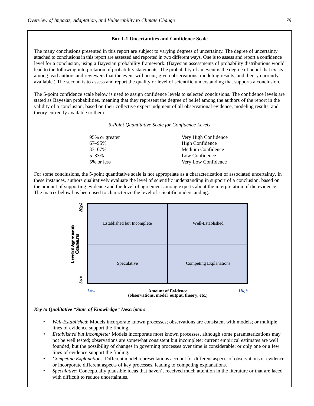#### **Box 1-1 Uncertainties and Confidence Scale**

The many conclusions presented in this report are subject to varying degrees of uncertainty. The degree of uncertainty attached to conclusions in this report are assessed and reported in two different ways. One is to assess and report a confidence level for a conclusion, using a Bayesian probability framework. (Bayesian assessments of probability distributions would lead to the following interpretation of probability statements: The probability of an event is the degree of belief that exists among lead authors and reviewers that the event will occur, given observations, modeling results, and theory currently available.) The second is to assess and report the quality or level of scientific understanding that supports a conclusion.

The 5-point confidence scale below is used to assign confidence levels to selected conclusions. The confidence levels are stated as Bayesian probabilities, meaning that they represent the degree of belief among the authors of the report in the validity of a conclusion, based on their collective expert judgment of all observational evidence, modeling results, and theory currently available to them.

*5-Point Quantitative Scale for Confidence Levels*

| Very High Confidence |
|----------------------|
| High Confidence      |
| Medium Confidence    |
| Low Confidence       |
| Very Low Confidence  |
|                      |

For some conclusions, the 5-point quantitative scale is not appropriate as a characterization of associated uncertainty. In these instances, authors qualitatively evaluate the level of scientific understanding in support of a conclusion, based on the amount of supporting evidence and the level of agreement among experts about the interpretation of the evidence. The matrix below has been used to characterize the level of scientific understanding.



#### *Key to Qualitative "State of Knowledge" Descriptors*

- *Well-Established*: Models incorporate known processes; observations are consistent with models; or multiple lines of evidence support the finding.
- *Established but Incomplete:* Models incorporate most known processes, although some parameterizations may not be well tested; observations are somewhat consistent but incomplete; current empirical estimates are well founded, but the possibility of changes in governing processes over time is considerable; or only one or a few lines of evidence support the finding.
- *Competing Explanations*: Different model representations account for different aspects of observations or evidence or incorporate different aspects of key processes, leading to competing explanations.
- *Speculative*: Conceptually plausible ideas that haven't received much attention in the literature or that are laced with difficult to reduce uncertainties.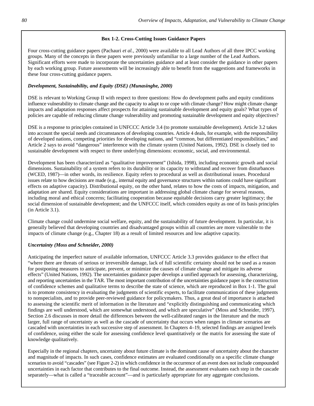#### **Box 1-2. Cross-Cutting Issues Guidance Papers**

Four cross-cutting guidance papers (Pachauri *et al.*, 2000) were available to all Lead Authors of all three IPCC working groups. Many of the concepts in these papers were previously unfamiliar to a large number of the Lead Authors. Significant efforts were made to incorporate the uncertainties guidance and at least consider the guidance in other papers by each working group. Future assessments will be increasingly able to benefit from the suggestions and frameworks in these four cross-cutting guidance papers.

#### *Development, Sustainability, and Equity (DSE) (Munasinghe, 2000)*

DSE is relevant to Working Group II with respect to three questions: How do development paths and equity conditions influence vulnerability to climate change and the capacity to adapt to or cope with climate change? How might climate change impacts and adaptation responses affect prospects for attaining sustainable development and equity goals? What types of policies are capable of reducing climate change vulnerability and promoting sustainable development and equity objectives?

DSE is a response to principles contained in UNFCCC Article 3.4 (to promote sustainable development). Article 3.2 takes into account the special needs and circumstances of developing countries. Article 4 deals, for example, with the responsibility of developed nations, competing priorities for developing nations, and "common, but differentiated responsibilities," and Article 2 says to avoid "dangerous" interference with the climate system (United Nations, 1992). DSE is closely tied to sustainable development with respect to three underlying dimensions: economic, social, and environmental.

Development has been characterized as "qualitative improvement" (Ishida, 1998), including economic growth and social dimensions. Sustainability of a system refers to its durability or its capacity to withstand and recover from disturbances (WCED, 1987)—in other words, its resilience. Equity refers to procedural as well as distributional issues. Procedural issues relate to how decisions are made (e.g., internal equity and governance structures within nations could have significant effects on adaptive capacity). Distributional equity, on the other hand, relates to how the costs of impacts, mitigation, and adaptation are shared. Equity considerations are important in addressing global climate change for several reasons, including moral and ethical concerns; facilitating cooperation because equitable decisions carry greater legitimacy; the social dimension of sustainable development; and the UNFCCC itself, which considers equity as one of its basis principles (in Article 3.1).

Climate change could undermine social welfare, equity, and the sustainability of future development. In particular, it is generally believed that developing countries and disadvantaged groups within all countries are more vulnerable to the impacts of climate change (e.g., Chapter 18) as a result of limited resources and low adaptive capacity.

#### *Uncertainty (Moss and Schneider, 2000)*

Anticipating the imperfect nature of available information, UNFCCC Article 3.3 provides guidance to the effect that "where there are threats of serious or irreversible damage, lack of full scientific certainty should not be used as a reason for postponing measures to anticipate, prevent, or minimize the causes of climate change and mitigate its adverse e ffects" (United Nations, 1992). The uncertainties guidance paper develops a unified approach for assessing, characterizing, and reporting uncertainties in the TAR. The most important contribution of the uncertainties guidance paper is the construction of confidence schemes and qualitative terms to describe the state of science, which are reproduced in Box 1-1. The goal is to promote consistency in evaluating the judgments of scientific experts, to facilitate communication of these judgments to nonspecialists, and to provide peer-reviewed guidance for policymakers. Thus, a great deal of importance is attached to assessing the scientific merit of information in the literature and "explicitly distinguishing and communicating which findings are well understood, which are somewhat understood, and which are speculative" (Moss and Schneider, 1997). Section 2.6 discusses in more detail the differences between the well-calibrated ranges in the literature and the much larger, full range of uncertainty as well as the cascade of uncertainty that occurs when ranges in climate scenarios are cascaded with uncertainties in each successive step of assessment. In Chapters 4–19, selected findings are assigned levels of confidence, using either the scale for assessing confidence level quantitatively or the matrix for assessing the state of knowledge qualitatively.

Especially in the regional chapters, uncertainty about future climate is the dominant cause of uncertainty about the character and magnitude of impacts. In such cases, confidence estimates are evaluated conditionally on a specific climate change scenarios to avoid "cascades" (see Figure 2-2) in which confidence in the occurrence of an event does not include compounded uncertainties in each factor that contributes to the final outcome. Instead, the assessment evaluates each step in the cascade separately—what is called a "traceable account"—and is particularly appropriate for any aggregate conclusions.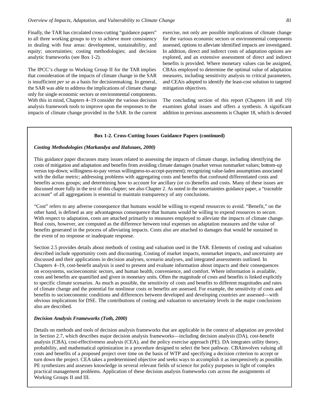Finally, the TAR has circulated cross-cutting "guidance papers" to all three working groups to try to achieve more consistency in dealing with four areas: development, sustainability, and equity; uncertainties; costing methodologies; and decision analytic frameworks (see Box 1-2).

The IPCC's charge to Working Group II for the TAR implies that consideration of the impacts of climate change in the SAR is insufficient *per se* as a basis for decisionmaking. In general, the SAR was able to address the implications of climate change only for single economic sectors or environmental components. With this in mind, Chapters 4–19 consider the various decision analysis framework tools to improve upon the responses to the impacts of climate change provided in the SAR. In the current

exercise, not only are possible implications of climate change for the various economic sectors or environmental components assessed, options to alleviate identified impacts are investigated. In addition, direct and indirect costs of adaptation options are explored, and an extensive assessment of direct and indirect benefits is provided. Where monetary values can be assigned, CBAis employed to determine the optimal value of adaptation measures, including sensitivity analysis to critical parameters, and CEAis adopted to identify the least-cost solution to targeted mitigation objectives.

The concluding section of this report (Chapters 18 and 19) examines global issues and offers a synthesis. A significant addition to previous assessments is Chapter 18, which is devoted

#### **Box 1-2. Cross-Cutting Issues Guidance Papers (continued)**

#### *Costing Methodologies (Markandya and Halsnaes, 2000)*

This guidance paper discusses many issues related to assessing the impacts of climate change, including identifying the costs of mitigation and adaptation and benefits from avoiding climate damages (market versus nonmarket values; bottom-up versus top-down; willingness-to-pay versus willingness-to-accept-payment); recognizing value-laden assumptions associa ted with the dollar metric; addressing problems with aggregating costs and benefits that confound differentiated costs and benefits across groups; and determining how to account for ancillary (or co-)benefits and costs. Many of these issues are discussed more fully in the text of this chapter; see also Chapter 2. As noted in the uncertainties guidance paper, a "traceable account" of all aggregations is essential to maintain transparency of any conclusions.

"Cost" refers to any adverse consequence that humans would be willing to expend resources to avoid. "Benefit," on the other hand, is defined as any advantageous consequence that humans would be willing to expend resources to secure. With respect to adaptation, costs are attached primarily to measures employed to alleviate the impacts of climate change. Real costs, however, are computed as the difference between total expenses on adaptation measures and the value of benefits generated in the process of alleviating impacts. Costs also are attached to damages that would be sustained in the event of no response or inadequate response.

Section 2.5 provides details about methods of costing and valuation used in the TAR. Elements of costing and valuation described include opportunity costs and discounting. Costing of market impacts, nonmarket impacts, and uncertainty are discussed and their applications in decision analyses, scenario analyses, and integrated assessments outlined. In Chapters 4–19, cost-benefit analysis is used to present and evaluate information about impacts and their consequences on ecosystems, socioeconomic sectors, and human health, convenience, and comfort. Where information is available, costs and benefits are quantified and given in monetary units. Often the magnitude of costs and benefits is linked explicitly to specific climate scenarios. As much as possible, the sensitivity of costs and benefits to different magnitudes and rates of climate change and the potential for nonlinear costs or benefits are assessed. For example, the sensitivity of costs and benefits to socioeconomic conditions and differences between developed and developing countries are assessed—with obvious implications for DSE. The contributions of costing and valuation to uncertainty levels in the major conclusions also are described.

#### *Decision Analysis Frameworks (Toth, 2000)*

Details on methods and tools of decision analysis frameworks that are applicable in the context of adaptation are provided in Section 2.7, which describes major decision analysis frameworks—including decision analysis (DA), cost-benefit analysis (CBA), cost-effectiveness analysis (CEA), and the policy exercise approach (PE). DA integrates utility theory, probability, and mathematical optimization in a procedure designed to select the best pathway. CBAinvolves valuing all costs and benefits of a proposed project over time on the basis of WTP and specifying a decision criterion to accept or turn down the project. CEA takes a predetermined objective and seeks ways to accomplish it as inexpensively as possible. PE synthesizes and assesses knowledge in several relevant fields of science for policy purposes in light of complex practical management problems. Application of these decision analysis frameworks cuts across the assignments of Working Groups II and III.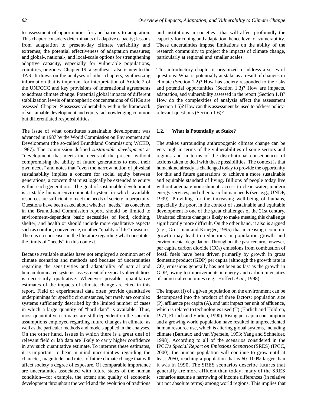to assessment of opportunities for and barriers to adaptation. This chapter considers determinants of adaptive capacity; lessons from adaptation to present-day climate variability and extremes; the potential effectiveness of adaptation measures; and global-, national-, and local-scale options for strengthening adaptive capacity, especially for vulnerable populations, countries, or zones. Chapter 19, a synthesis, also is new to the TAR. It draws on the analyses of other chapters, synthesizing information that is important for interpretation of Article 2 of the UNFCCC and key provisions of international agreements to address climate change. Potential global impacts of different stabilization levels of atmospheric concentrations of GHGs are assessed. Chapter 19 assesses vulnerability within the framework of sustainable development and equity, acknowledging common but differentiated responsibilities.

The issue of what constitutes sustainable development was advanced in 1987 by the World Commission on Environment and Development (the so-called Brundtland Commission; WCED, 1987). The commission defined *sustainable development* as "development that meets the needs of the present without compromising the ability of future generations to meet their own needs" and notes that "even the narrow notion of physical sustainability implies a concern for social equity between generations, a concern that must logically be extended to equity within each generation." The goal of sustainable development is a stable human environmental system in which available resources are sufficient to meet the needs of society in perpetuity. Questions have been asked about whether "needs," as conceived in the Brundtland Commission report, should be limited to environment-dependent basic necessities of food, clothing, shelter, and health or should include more qualitative aspects such as comfort, convenience, or other "quality of life" measures. There is no consensus in the literature regarding what constitutes the limits of "needs" in this context.

Because available studies have not employed a common set of climate scenarios and methods and because of uncertainties regarding the sensitivities and adaptability of natural and human-dominated systems, assessment of regional vulnerabilities is necessarily qualitative. Whenever possible, quantitative estimates of the impacts of climate change are cited in this report. Field or experimental data often provide quantitative underpinnings for specific circumstances, but rarely are complex systems sufficiently described by the limited number of cases in which a large quantity of "hard data" is available. Thus, most quantitative estimates are still dependent on the specific assumptions employed regarding future changes in climate, as well as the particular methods and models applied in the analyses. On the other hand, issues in which there is a great deal of relevant field or lab data are likely to carry higher confidence in any such quantitative estimate. To interpret these estimates, it is important to bear in mind uncertainties regarding the character, magnitude, and rates of future climate change that will affect society's degree of exposure. Of comparable importance are uncertainties associated with future states of the human condition—for example, the extent and quality of economic development throughout the world and the evolution of traditions and institutions in societies—that will affect profoundly the capacity for coping and adaptation, hence level of vulnerability. These uncertainties impose limitations on the ability of the research community to project the impacts of climate change, particularly at regional and smaller scales.

This introductory chapter is organized to address a series of questions: What is potentially at stake as a result of changes in climate (Section 1.2)? How has society responded to the risks and potential opportunities (Section 1.3)? How are impacts, adaptation, and vulnerability assessed in the report (Section 1.4)? How do the complexities of analysis affect the assessment (Section 1.5)? How can this assessment be used to address policyrelevant questions (Section 1.6)?

#### **1.2. What is Potentially at Stake?**

The stakes surrounding anthropogenic climate change can be very high in terms of the vulnerabilities of some sectors and regions and in terms of the distributional consequences of actions taken to deal with these possibilities. The context is that humankind already is challenged today to provide the opportunity for this and future generations to achieve a more sustainable and equitable standard of living. Billions of people today live without adequate nourishment, access to clean water, modern energy services, and other basic human needs (see, e.g., UNDP, 1999). Providing for the increasing well-being of humans, especially the poor, in the context of sustainable and equitable development is one of the great challenges of the 21st century. Unabated climate change is likely to make meeting this challenge significantly more difficult. On the other hand, it also is argued (e.g., Grossman and Krueger, 1995) that increasing economic growth may lead to reductions in population growth and environmental degradation. Throughout the past century, however, per capita carbon dioxide  $(CO_2)$  emissions from combustion of fossil fuels have been driven primarily by growth in gross domestic product (GDP) per capita (although the growth rate in  $CO<sub>2</sub>$  emissions generally has not been as fast as the growth in GDP, owing to improvements in energy and carbon intensities of industrial economies (e.g., Hoffert *et al.*, 1998).

The impact (I) of a given population on the environment can be decomposed into the product of three factors: population size  $(P)$ , affluence per capita  $(A)$ , and unit impact per unit of affluence, which is related to technologies used (T) (Ehrlich and Holdren, 1971; Ehrlich and Ehrlich, 1990). Rising per capita consumption and a growing world population have resulted in unprecedented human resource use, which is altering global systems, including climate (Bartiaux and van Ypersele, 1993; Yang and Schneider, 1998). According to all of the scenarios considered in the IPCC's *Special Report on Emissions Scenarios* (SRES) (IPCC, 2000), the human population will continue to grow until at least 2050, reaching a population that is 60–100% larger than it was in 1990. The SRES scenarios describe futures that generally are more affluent than today; many of the SRES scenarios assume a narrowing of income differences (in relative but not absolute terms) among world regions. This implies that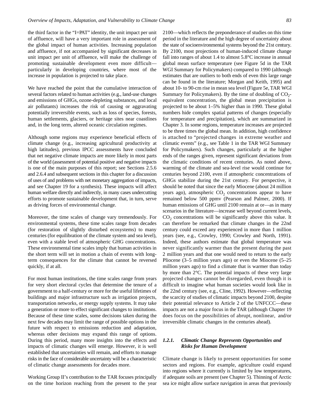the third factor in the "I=PAT" identity, the unit impact per unit of affluence, will have a very important role in assessment of the global impact of human activities. Increasing population and affluence, if not accompanied by significant decreases in unit impact per unit of affluence, will make the challenge of promoting sustainable development even more difficultparticularly in developing countries, where most of the increase in population is projected to take place.

We have reached the point that the cumulative interaction of several factors related to human activities (e.g., land-use changes and emissions of GHGs, ozone-depleting substances, and local air pollutants) increases the risk of causing or aggravating potentially irreversible events, such as loss of species, forests, human settlements, glaciers, or heritage sites near coastlines and, in the long term, altered oceanic circulation regimes.

Although some regions may experience beneficial effects of climate change (e.g., increasing agricultural productivity at high latitudes), previous IPCC assessments have concluded that net negative climate impacts are more likely in most parts of the world (assessment of potential positive and negative impacts is one of the main purposes of this report; see Sections 2.5.6 and 2.6.4 and subsequent sections in this chapter for a discussion of uses of and problems with net monetary aggregation of impacts, and see Chapter 19 for a synthesis). These impacts will affect human welfare directly and indirectly, in many cases undercutting efforts to promote sustainable development that, in turn, serve as driving forces of environmental change.

Moreover, the time scales of change vary tremendously. For environmental systems, these time scales range from decades (for restoration of slightly disturbed ecosystems) to many centuries (for equilibration of the climate system and sea level), even with a stable level of atmospheric GHG concentrations. These environmental time scales imply that human activities in the short term will set in motion a chain of events with longterm consequences for the climate that cannot be reversed quickly, if at all.

For most human institutions, the time scales range from years for very short electoral cycles that determine the tenure of a government to a half-century or more for the useful lifetimes of buildings and major infrastructure such as irrigation projects, transportation networks, or energy supply systems. It may take a generation or more to effect significant changes to institutions. Because of these time scales, some decisions taken during the next few decades may limit the range of possible options in the future with respect to emissions reduction and adaptation, whereas other decisions may expand this range of options. During this period, many more insights into the effects and impacts of climatic changes will emerge. However, it is well established that uncertainties will remain, and efforts to manage risks in the face of considerable uncertainty will be a characteristic of climatic change assessments for decades more.

Working Group II's contribution to the TAR focuses principally on the time horizon reaching from the present to the year

2100—which reflects the preponderance of studies on this time period in the literature and the high degree of uncertainty about the state of socioenvironmental systems beyond the 21st century. By 2100, most projections of human-induced climate change fall into ranges of about 1.4 to almost 5.8°C increase in annual global mean surface temperature (see Figure 5d in the TAR WGI Summary for Policymakers) compared to 1990 (although estimates that are outliers to both ends of even this large range can be found in the literature; Morgan and Keith, 1995) and about 10- to 90-cm rise in mean sea level (Figure 5e, TAR WGI Summary for Policymakers). By the time of doubling of  $CO_2$ equivalent concentration, the global mean precipitation is projected to be about  $1-5\%$  higher than in 1990. These global numbers hide complex spatial patterns of changes (especially for temperature and precipitation), which are summarized in Chapter 3. In some regions, temperature increases are projected to be three times the global mean. In addition, high confidence is attached to "projected changes in extreme weather and climatic events" (e.g., see Table 1 in the TAR WGI Summary for Policymakers). Such changes, particularly at the higher ends of the ranges given, represent significant deviations from the climatic conditions of recent centuries. As noted above, warming of the climate and sea-level rise would continue for centuries beyond 2100, even if atmospheric concentrations of GHGs stabilize during the 21st century. For perspective, it should be noted that since the early Miocene (about 24 million years ago), atmospheric  $CO<sub>2</sub>$  concentrations appear to have remained below 500 ppmv (Pearson and Palmer, 2000). If human emissions of GHG until 2100 remain at or—as in many scenarios in the literature—increase well beyond current levels,  $CO<sub>2</sub>$  concentrations will be significantly above this value. It can therefore be remarked that climate changes in the 22nd century could exceed any experienced in more than 1 million years (see, e.g., Crowley, 1990; Crowley and North, 1991). Indeed, these authors estimate that global temperature was never significantly warmer than the present during the past 2 million years and that one would need to return to the early Pliocene (3–5 million years ago) or even the Miocene (5–25 million years ago) to find a climate that is warmer than today by more than 2°C. The potential impacts of these very large projected changes cannot be disregarded, even though it is difficult to imagine what human societies would look like in the 22nd century (see, e.g., Cline, 1992). However—reflecting the scarcity of studies of climatic impacts beyond 2100, despite their potential relevance to Article 2 of the UNFCCC—these impacts are not a major focus in the TAR (although Chapter 19 does focus on the possibilities of abrupt, nonlinear, and/or irreversible climatic changes in the centuries ahead).

#### *1.2.1. Climatic Change Represents Opportunities and Risks for Human Development*

Climate change is likely to present opportunities for some sectors and regions. For example, agriculture could expand into regions where it currently is limited by low temperatures, if adequate soils are present (see Chapter 5). Thinning of Arctic sea ice might allow surface navigation in areas that previously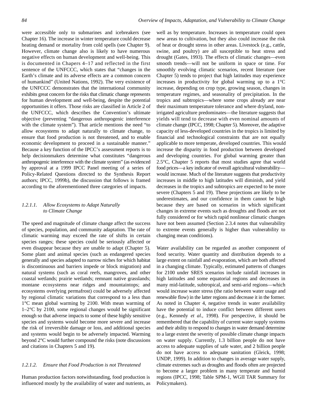were accessible only to submarines and icebreakers (see Chapter 16). The increase in winter temperature could decrease heating demand or mortality from cold spells (see Chapter 9). However, climate change also is likely to have numerous negative effects on human development and well-being. This is documented in Chapers 4–17 and reflected in the first sentence of the UNFCCC, which states that "changes in the Earth's climate and its adverse effects are a common concern of humankind" (United Nations, 1992). The very existence of the UNFCCC demonstrates that the international community exhibits great concern for the risks that climatic change represents for human development and well-being, despite the potential opportunities it offers. Those risks are classified in Article 2 of the UNFCCC, which describes the Convention's ultimate objective (preventing "dangerous anthropogenic interference with the climate system"). That article mentions the need "to allow ecosystems to adapt naturally to climate change, to ensure that food production is not threatened, and to enable economic development to proceed in a sustainable manner." Because a key function of the IPCC's assessment reports is to help decisionmakers determine what constitutes "dangerous anthropogenic interference with the climate system" (as evidenced by approval at a 1999 IPCC Panel meeting of a series of Policy-Related Questions directed to the Synthesis Report authors; IPCC, 1999b), the discussion that follows is framed according to the aforementioned three categories of impacts.

#### *1.2.1.1. Allow Ecosystems to Adapt Naturally to Climate Change*

The speed and magnitude of climate change affect the success of species, population, and community adaptation. The rate of climatic warming may exceed the rate of shifts in certain species ranges; these species could be seriously affected or even disappear because they are unable to adapt (Chapter 5). Some plant and animal species (such as endangered species generally and species adapted to narrow niches for which habitat is discontinuous and barriers impede or block migration) and natural systems (such as coral reefs, mangroves, and other coastal wetlands; prairie wetlands; remnant native grasslands; montane ecosystems near ridges and mountaintops; and ecosystems overlying permafrost) could be adversely affected by regional climatic variations that correspond to a less than 1°C mean global warming by 2100. With mean warming of  $1-2$ °C by 2100, some regional changes would be significant enough so that adverse impacts to some of these highly sensitive species and systems would become more severe and increase the risk of irreversible damage or loss, and additional species and systems would begin to be adversely impacted. Warming beyond 2°C would further compound the risks (note discussions and citations in Chapters 5 and 19).

#### *1.2.1.2. Ensure that Food Production is not Threatened*

Human production factors notwithstanding, food production is influenced mostly by the availability of water and nutrients, as well as by temperature. Increases in temperature could open new areas to cultivation, but they also could increase the risk of heat or drought stress in other areas. Livestock (e.g., cattle, swine, and poultry) are all susceptible to heat stress and drought (Gates, 1993). The effects of climatic changes—even smooth trends—will not be uniform in space or time. For smoothly evolving climatic scenarios, recent literature (see Chapter 5) tends to project that high latitudes may experience increases in productivity for global warming up to a 1°C increase, depending on crop type, growing season, changes in temperature regimes, and seasonality of precipitation. In the tropics and subtropics—where some crops already are near their maximum temperature tolerance and where dryland, nonirrigated agriculture predominates—the literature suggests that yields will tend to decrease with even nominal amounts of climate change (IPCC, 1998; Chapter 5). Moreover, the adaptive capacity of less-developed countries in the tropics is limited by financial and technological constraints that are not equally applicable to more temperate, developed countries. This would increase the disparity in food production between developed and developing countries. For global warming greater than 2.5°C, Chapter 5 reports that most studies agree that world food prices—a key indicator of overall agricultural vulnerability would increase. Much of the literature suggests that productivity increases in middle to high latitudes will diminish, and yield decreases in the tropics and subtropics are expected to be more severe (Chapters 5 and 19). These projections are likely to be underestimates, and our confidence in them cannot be high because they are based on scenarios in which significant changes in extreme events such as droughts and floods are not fully considered or for which rapid nonlinear climatic changes have not been assumed (Section 2.3.4 notes that vulnerability to extreme events generally is higher than vulnerability to changing mean conditions).

Water availability can be regarded as another component of food security. Water quantity and distribution depends to a large extent on rainfall and evaporation, which are both affected in a changing climate. Typically, estimated patterns of changes for 2100 under SRES scenarios include rainfall increases in high latitudes and some equatorial regions and decreases in many mid-latitude, subtropical, and semi-arid regions—which would increase water stress (the ratio between water usage and renewable flow) in the latter regions and decrease it in the former. As noted in Chapter 4, negative trends in water availability have the potential to induce conflict between different users (e.g., Kennedy *et al.*, 1998). For perspective, it should be remembered that the capability of current water supply systems and their ability to respond to changes in water demand determine to a large extent the severity of possible climate change impacts on water supply. Currently, 1.3 billion people do not have access to adequate supplies of safe water, and 2 billion people do not have access to adequate sanitation (Gleick, 1998; UNDP, 1999). In addition to changes in average water supply, climate extremes such as droughts and floods often are projected to become a larger problem in many temperate and humid regions (IPCC, 1998; Table SPM-1, WGII TAR Summary for Policymakers).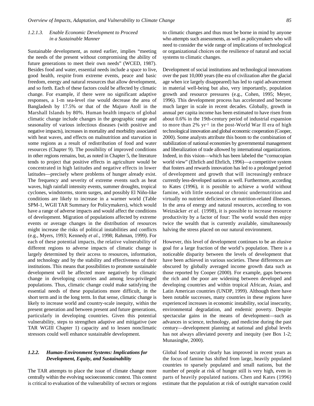#### *1.2.1.3. Enable Economic Development to Proceed in a Sustainable Manner*

Sustainable development, as noted earlier, implies "meeting the needs of the present without compromising the ability of future generations to meet their own needs" (WCED, 1987). Besides food and water, essential needs include a space to live, good health, respite from extreme events, peace and basic freedom, energy and natural resources that allow development, and so forth. Each of these factors could be affected by climatic change. For example, if there were no significant adaptive responses, a 1-m sea-level rise would decrease the area of Bangladesh by 17.5% or that of the Majuro Atoll in the Marshall Islands by 80%. Human health impacts of global climatic change include changes in the geographic range and seasonality of various infectious diseases (with positive and negative impacts), increases in mortality and morbidity associated with heat waves, and effects on malnutrition and starvation in some regions as a result of redistribution of food and water resources (Chapter 9). The possibility of improved conditions in other regions remains, but, as noted in Chapter 5, the literature tends to project that positive effects in agriculture would be concentrated in high latitudes and negative effects in lower latitudes—precisely where problems of hunger already exist. The frequency and severity of extreme events such as heat waves, high rainfall intensity events, summer droughts, tropical cyclones, windstorms, storm surges, and possibly El Niño-like conditions are likely to increase in a warmer world (Table SPM-1, WGII TAR Summary for Policymakers), which would have a range of adverse impacts and would affect the conditions of development. Migration of populations affected by extreme events or average changes in the distribution of resources might increase the risks of political instabilities and conflicts (e.g., Myers, 1993; Kennedy *et al.*, 1998; Rahman, 1999). For each of these potential impacts, the relative vulnerability of different regions to adverse impacts of climatic change is largely determined by their access to resources, information, and technology and by the stability and effectiveness of their institutions. This means that possibilities to promote sustainable development will be affected more negatively by climatic change in developing countries and among less-privileged populations. Thus, climatic change could make satisfying the essential needs of these populations more difficult, in the short term and in the long term. In that sense, climatic change is likely to increase world and country-scale inequity, within the present generation and between present and future generations, particularly in developing countries. Given this potential vulnerability, steps to strengthen adaptive and mitigative (see TAR WGIII Chapter 1) capacity and to lessen nonclimatic stressors could well enhance sustainable development.

#### *1.2.2. Human-Environment Systems: Implications for Development, Equity, and Sustainability*

The TAR attempts to place the issue of climate change more centrally within the evolving socioeconomic context. This context is critical to evaluation of the vulnerability of sectors or regions to climatic changes and thus must be borne in mind by anyone who attempts such assessments, as well as policymakers who will need to consider the wide range of implications of technological or organizational choices on the resilience of natural and social systems to climatic changes.

Development of social institutions and technological innovations over the past 10,000 years (the era of civilization after the glacial age when ice largely disappeared) has led to rapid advancement in material well-being but also, very importantly, population growth and resource pressures (e.g., Cohen, 1995; Meyer, 1996). This development process has accelerated and become much larger in scale in recent decades. Globally, growth in annual per capita income has been estimated to have risen from about 0.6% in the 19th-century period of industrial expansion to more than  $2\%$  yr<sup>-1</sup> in the post-World War II era of high te chnological innovation and global economic cooperation (Cooper, 2000). Some analysts attribute this boom to the combination of stabilization of national economies by governmental management and liberalization of trade allowed by international organizations. Indeed, in this vision—which has been labeled the "cornucopian world view" (Ehrlich and Ehrlich, 1996)—a competitive system that fosters and rewards innovation has led to a prolonged period of development and growth that will increasingly embrace currently less-developed nations as well. Furthermore, according to Kates (1996), it is possible to achieve a world without famine, with little seasonal or chronic undernutrition and virtually no nutrient deficiencies or nutrition-related illnesses. In the area of energy and natural resources, according to von Weizsäcker *et al.* (1998), it is possible to increase resource productivity by a factor of four: The world would then enjoy twice the wealth that is currently available, simultaneously halving the stress placed on our natural environment.

However, this level of development continues to be an elusive goal for a large fraction of the world's population. There is a noticeable disparity between the levels of development that have been achieved in various societies. These differences are obscured by globally averaged income growth data such as those reported by Cooper (2000). For example, gaps between the rich and the poor are widening between developed and developing countries and within tropical African, Asian, and Latin American countries (UNDP, 1999). Although there have been notable successes, many countries in these regions have experienced increases in economic instability, social insecurity, environmental degradation, and endemic poverty. Despite spectacular gains in the means of development—such as advances in science, technology, and medicine during the past century—development planning at national and global levels has not always alleviated poverty and inequity (see Box 1-2; Munasinghe, 2000).

Global food security clearly has improved in recent years as the focus of famine has shifted from large, heavily populated countries to sparsely populated and small nations, but the number of people at risk of hunger still is very high, even in parts of heavily populated nations. Chen and Kates (1996) estimate that the population at risk of outright starvation could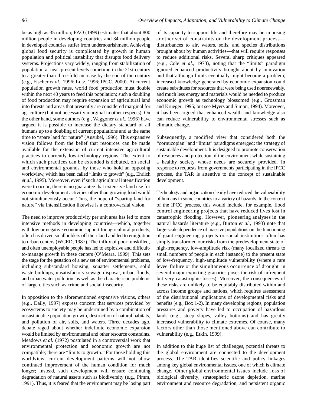be as high as 35 million; FAO (1999) estimates that about 800 million people in developing countries and 34 million people in developed countries suffer from undernourishment. Achieving global food security is complicated by growth in human population and political instability that disrupts food delivery systems. Projections vary widely, ranging from stabilization of population at near-present levels sometime in the 21st century to a greater than three-fold increase by the end of the century (e.g., Fischer *et al.*, 1996; Lutz, 1996; IPCC, 2000). At current population growth rates, world food production must double within the next 40 years to feed this population; such a doubling of food production may require expansion of agricultural land into forests and areas that presently are considered marginal for agriculture (but not necessarily marginal in other respects). On the other hand, some authors (e.g., Waggoner *et al.*, 1996) have argued it is possible to increase the dietary standard of all humans up to a doubling of current populations and at the same time to "spare land for nature" (Ausubel, 1996). This expansive vision follows from the belief that resources can be made available for the extension of current intensive agricultural practices to currently low-technology regions. The extent to which such practices can be extended is debated, on social and environmental grounds, by those who hold an opposing worldview, which has been called "limits to growth" (e.g., Ehrlich *et al.*, 1995). Moreover, even if such agricultural intensification were to occur, there is no guarantee that extensive land use for economic development activities other than growing food would not simultaneously occur. Thus, the hope of "sparing land for nature" via intensification likewise is a controversial vision.

The need to improve productivity per unit area has led to more intensive methods in developing countries—which, together with low or negative economic support for agricultural products, often has driven smallholders off their land and led to emigration to urban centers (WCED, 1987). The influx of poor, unskilled, and often unemployable people has led to explosive and difficultto-manage growth in these centers (O'Meara, 1999). This sets the stage for the gestation of a new set of environmental problems, including substandard housing, squatter settlements, solid waste buildups, unsatisfactory sewage disposal, urban floods, and urban water pollution, as well as the characteristic problems of large cities such as crime and social insecurity.

In opposition to the aforementioned expansive visions, others (e.g., Daily, 1997) express concern that services provided by ecosystems to society may be undermined by a combination of unsustainable population growth, destruction of natural habitats, and pollution of air, soils, and waters. Three decades ago, debate raged about whether indefinite economic expansion would be limited by environmental and other resource constraints. Meadows *et al.* (1972) postulated in a controversial work that environmental protection and economic growth are not compatible; there are "limits to growth." For those holding this worldview, current development patterns will not allow continued improvement of the human condition for much longer; instead, such development will ensure continuing degradation of natural assets such as biodiversity (e.g., Pimm, 1991). Thus, it is feared that the environment may be losing part of its capacity to support life and therefore may be imposing another set of constraints on the development process disturbances to air, waters, soils, and species distributions brought about by human activities—that will require responses to reduce additional risks. Several sharp critiques appeared (e.g., Cole *et al.*, 1973), noting that the "limits" paradigm ignored enhanced productivity brought about by innovation and that although limits eventually might become a problem, increased knowledge generated by economic expansion could create substitutes for resources that were being used nonrenewably, and much less energy and materials would be needed to produce economic growth as technology blossomed (e.g., Grossman and Krueger, 1995; but see Myers and Simon, 1994). Moreover, it has been argued that enhanced wealth and knowledge also can reduce vulnerability to environmental stresses such as climatic change.

Subsequently, a modified view that considered both the " cornucopian" and "limits" paradigms emerged: the strategy of sustainable development. It is designed to promote conservation of resources and protection of the environment while sustaining a healthy society whose needs are securely provided. In response to requests from governments participating in the IPCC process, the TAR is attentive to the concept of sustainable development.

Technology and organization clearly have reduced the vulnerability of humans in some countries to a variety of hazards. In the context of the IPCC process, this would include, for example, flood control engineering projects that have reduced lives lost in catastrophic flooding. However, pioneering analyses in the natural hazards literature (e.g., Burton *et al.*, 1993) note that large-scale dependence of massive populations on the functioning of giant engineering projects or social institutions often has simply transformed our risks from the predevelopment state of high-frequency, low-amplitude risk (many localized threats to small numbers of people in each instance) to the present state of low-frequency, high-amplitude vulnerability (where a rare levee failure or the simultaneous occurrence of drought in several major exporting granaries poses the risk of infrequent but very catastrophic losses). Moreover, the consequences of these risks are unlikely to be equitably distributed within and across income groups and nations, which requires assessment of the distributional implications of developmental risks and benefits (e.g., Box 1-2). In many developing regions, population pressures and poverty have led to occupation of hazardous lands (e.g., steep slopes, valley bottoms) and has greatly increased vulnerability to climate extremes. Of course, many factors other than those mentioned above can contribute to vulnerability (e.g., Etkin, 1999).

In addition to this huge list of challenges, potential threats to the global environment are connected to the development process. The TAR identifies scientific and policy linkages among key global environmental issues, one of which is climate change. Other global environmental issues include loss of biological diversity, stratospheric ozone depletion, marine environment and resource degradation, and persistent organic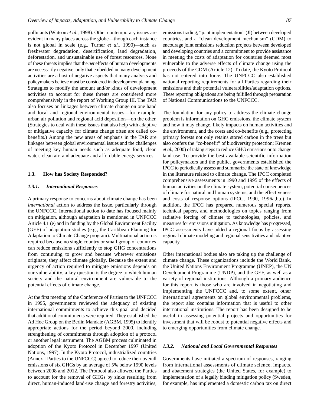pollutants (Watson *et al.*, 1998). Other contemporary issues are evident in many places across the globe—though each instance is not global in scale (e.g., Turner *et al.*, 1990)—such as freshwater degradation, desertification, land degradation, deforestation, and unsustainable use of forest resources. None of these threats implies that the *net* effects of human developments are necessarily negative, only that embedded in many development activities are a host of negative aspects that many analysts and policymakers believe must be considered in development planning. Strategies to modify the amount and/or kinds of development activities to account for these threats are considered more comprehensively in the report of Working Group III. The TAR also focuses on linkages between climate change on one hand and local and regional environmental issues—for example, urban air pollution and regional acid deposition—on the other. (Strategies to deal with these issues that also help with adaptive or mitigative capacity for climate change often are called cobenefits.) Among the new areas of emphasis in the TAR are linkages between global environmental issues and the challenges of meeting key human needs such as adequate food, clean water, clean air, and adequate and affordable energy services.

#### **1.3. How has Society Responded?**

#### *1.3.1. International Responses*

A primary response to concerns about climate change has been *international* action to address the issue, particularly through the UNFCCC. International action to date has focused mainly on mitigation, although adaptation is mentioned in UNFCCC Article 4.1 (e) and in funding by the Global Environment Facility (GEF) of adaptation studies (e.g., the Caribbean Planning for Adaptation to Climate Change program). Multinational action is required because no single country or small group of countries can reduce emissions sufficiently to stop GHG concentrations from continuing to grow and because wherever emissions originate, they affect climate globally. Because the extent and urgency of action required to mitigate emissions depends on our vulnerability, a key question is the degree to which human society and the natural environment are vulnerable to the potential effects of climate change.

At the first meeting of the Conference of Parties to the UNFCCC in 1995, governments reviewed the adequacy of existing international commitments to achieve this goal and decided that additional commitments were required. They established the Ad Hoc Group on the Berlin Mandate (AGBM, 1995) to identify appropriate actions for the period beyond 2000, including strengthening of commitments through adoption of a protocol or another legal instrument. The AGBM process culminated in adoption of the Kyoto Protocol in December 1997 (United Nations, 1997). In the Kyoto Protocol, industrialized countries (Annex I Parties to the UNFCCC) agreed to reduce their overall emissions of six GHGs by an average of 5% below 1990 levels between 2008 and 2012. The Protocol also allowed the Parties to account for the removal of GHGs by sinks resulting from direct, human-induced land-use change and forestry activities,

emissions trading, "joint implementation" (JI) between developed countries, and a "clean development mechanism" (CDM) to encourage joint emissions reduction projects between developed and developing countries and a commitment to provide assistance in meeting the costs of adaptation for countries deemed most vulnerable to the adverse effects of climate change using the proceeds of the CDM (Article 12). To date, the Kyoto Protocol has not entered into force. The UNFCCC also established national reporting requirements for all Parties regarding their emissions and their potential vulnerabilities/adaptation options. These reporting obligations are being fulfilled through preparation of National Communications to the UNFCCC.

The foundation for any policy to address the climate change problem is information on GHG emissions, the climate system and how it may change, likely impacts on human activities and the environment, and the costs and co-benefits (e.g., protecting primary forests not only retains stored carbon in the trees but also confers the "co-benefit" of biodiversity protection; Kremen *et al.*, 2000) of taking steps to reduce GHG emissions or to change land use. To provide the best available scientific information for policymakers and the public, governments established the IPCC to periodically assess and summarize the state of knowledge in the literature related to climate change. The IPCC completed comprehensive assessments in 1990 and 1995 of the effects of human activities on the climate system, potential consequences of climate for natural and human systems, and the effectiveness and costs of response options (IPCC, 1990, 1996a,b,c). In addition, the IPCC has prepared numerous special reports, technical papers, and methodologies on topics ranging from radiative forcing of climate to technologies, policies, and measures for emissions mitigation. As knowledge has progressed, IPCC assessments have added a regional focus by assessing regional climate modeling and regional sensitivities and adaptive capacity.

Other international bodies also are taking up the challenge of climate change. These organizations include the World Bank, the United Nations Environment Programme (UNEP), the UN Development Programme (UNDP), and the GEF, as well as a variety of regional institutions. Although a primary audience for this report is those who are involved in negotiating and implementing the UNFCCC and, to some extent, other international agreements on global environmental problems, the report also contains information that is useful to other international institutions. The report has been designed to be useful in assessing potential projects and opportunities for investment that will be robust to potential negative effects and to emerging opportunities from climate change.

#### *1.3.2. National and Local Governmental Responses*

Governments have initiated a spectrum of responses, ranging from international assessments of climate science, impacts, and abatement strategies (the United States, for example) to implementation of a legally binding mitigation policy (Sweden, for example, has implemented a domestic carbon tax on direct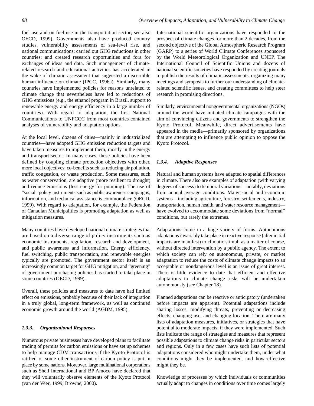fuel use and on fuel use in the transportation sector; see also OECD, 1999). Governments also have produced country studies, vulnerability assessments of sea-level rise, and national communications; carried out GHG reductions in other countries; and created research opportunities and fora for exchanges of ideas and data. Such management of climaterelated research and educational activities has accelerated in the wake of climatic assessment that suggested a discernible human influence on climate (IPCC, 1996a). Similarly, many countries have implemented policies for reasons unrelated to climate change that nevertheless have led to reductions of GHG emissions (e.g., the ethanol program in Brazil, support to renewable energy and energy efficiency in a large number of countries). With regard to adaptation, the first National Communications to UNFCCC from most countries contained analyses of vulnerability and adaptation options.

At the local level, dozens of cities—mainly in industrialized countries—have adopted GHG emission reduction targets and have taken measures to implement them, mostly in the energy and transport sector. In many cases, these policies have been defined by coupling climate protection objectives with other, more local objectives: co-benefits such as reducing air pollution, traffic congestion, or waste production. Some measures, such as water conservation, are adaptive (more resilient to drought) and reduce emissions (less energy for pumping). The use of "social" policy instruments such as public awareness campaigns, information, and technical assistance is commonplace (OECD, 1999). With regard to adaptation, for example, the Federation of Canadian Municipalities is promoting adaptation as well as mitigation measures.

Many countries have developed national climate strategies that are based on a diverse range of policy instruments such as economic instruments, regulation, research and development, and public awareness and information. Energy efficiency, fuel switching, public transportation, and renewable energies typically are promoted. The government sector itself is an increasingly common target for GHG mitigation, and "greening" of government purchasing policies has started to take place in some countries (OECD, 1999).

Overall, these policies and measures to date have had limited e ffect on emissions, probably because of their lack of integration in a truly global, long-term framework, as well as continued economic growth around the world (AGBM, 1995).

#### *1.3.3. Organizational Responses*

Numerous private businesses have developed plans to facilitate trading of permits for carbon emissions or have set up schemes to help manage CDM transactions if the Kyoto Protocol is ratified or some other instrument of carbon policy is put in place by some nations. Moreover, large multinational corporations such as Shell International and BP Amoco have declared that they will voluntarily observe elements of the Kyoto Protocol (van der Veer, 1999; Browne, 2000).

International scientific organizations have responded to the prospect of climate changes for more than 2 decades, from the second objective of the Global Atmospheric Research Program (GARP) to a series of World Climate Conferences sponsored by the World Meteorological Organization and UNEP. The International Council of Scientific Unions and dozens of national scientific societies have responded by creating journals to publish the results of climatic assessments, organizing many meetings and symposia to further our understanding of climaterelated scientific issues, and creating committees to help steer research in promising directions.

Similarly, environmental nongovernmental organizations (NGOs) around the world have initiated climate campaigns with the aim of convincing citizens and governments to strengthen the Kyoto Protocol. Meanwhile, direct advertisements have appeared in the media—primarily sponsored by organizations that are attempting to influence public opinion to oppose the Kyoto Protocol.

#### *1.3.4. Adaptive Responses*

Natural and human systems have adapted to spatial differences in climate. There also are examples of adaptation (with varying degrees of success) to temporal variations—notably, deviations from annual average conditions. Many social and economic systems—including agriculture, forestry, settlements, industry, transportation, human health, and water resource management have evolved to accommodate some deviations from "normal" conditions, but rarely the extremes.

Adaptations come in a huge variety of forms. Autonomous adaptations invariably take place in reactive response (after initial impacts are manifest) to climatic stimuli as a matter of course, without directed intervention by a public agency. The extent to which society can rely on autonomous, private, or market adaptation to reduce the costs of climate change impacts to an acceptable or nondangerous level is an issue of great interest. There is little evidence to date that efficient and effective adaptations to climate change risks will be undertaken autonomously (see Chapter 18).

Planned adaptations can be reactive or anticipatory (undertaken before impacts are apparent). Potential adaptations include sharing losses, modifying threats, preventing or decreasing effects, changing use, and changing location. There are many lists of adaptation measures, initiatives, or strategies that have potential to moderate impacts, if they were implemented. Such lists indicate the range of strategies and measures that represent possible adaptations to climate change risks in particular sectors and regions. Only in a few cases have such lists of potential adaptations considered who might undertake them, under what conditions might they be implemented, and how effective might they be.

Knowledge of processes by which individuals or communities actually adapt to changes in conditions over time comes largely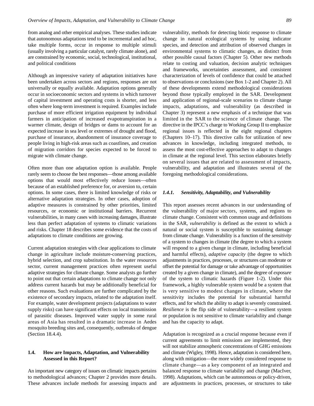from analog and other empirical analyses. These studies indicate that autonomous adaptations tend to be incremental and ad hoc, take multiple forms, occur in response to multiple stimuli (usually involving a particular catalyst, rarely climate alone), and are constrained by economic, social, technological, institutional, and political conditions

Although an impressive variety of adaptation initiatives have been undertaken across sectors and regions, responses are not universally or equally available. Adaptation options generally occur in socioeconomic sectors and systems in which turnover of capital investment and operating costs is shorter, and less often where long-term investment is required. Examples include purchase of more efficient irrigation equipment by individual farmers in anticipation of increased evapotranspiration in a warmer climate, design of bridges or dams to account for an expected increase in sea level or extremes of drought and flood, purchase of insurance, abandonment of insurance coverage to people living in high-risk areas such as coastlines, and creation of migration corridors for species expected to be forced to migrate with climate change.

Often more than one adaptation option is available. People rarely seem to choose the best responses—those among available options that would most effectively reduce losses—often because of an established preference for, or aversion to, certain options. In some cases, there is limited knowledge of risks or alternative adaptation strategies. In other cases, adoption of adaptive measures is constrained by other priorities, limited resources, or economic or institutional barriers. Recurrent vulnerabilities, in many cases with increasing damages, illustrate less than perfect adaptation of systems to climatic variations and risks. Chapter 18 describes some evidence that the costs of adaptations to climate conditions are growing.

Current adaptation strategies with clear applications to climate change in agriculture include moisture-conserving practices, hybrid selection, and crop substitution. In the water resources sector, current management practices often represent useful adaptive strategies for climate change. Some analysts go further to point out that certain adaptations to climate change not only address current hazards but may be additionally beneficial for other reasons. Such evaluations are further complicated by the existence of secondary impacts, related to the adaptation itself. For example, water development projects (adaptations to water supply risks) can have significant effects on local transmission of parasitic diseases. Improved water supply in some rural areas of Asia has resulted in a dramatic increase in Aedes mosquito breeding sites and, consequently, outbreaks of dengue (Section 18.4.4).

#### **1.4. How are Impacts, Adaptation, and Vulnerability Assessed in this Report?**

An important new category of issues on climatic impacts pertains to methodological advances; Chapter 2 provides more details. These advances include methods for assessing impacts and

vulnerability, methods for detecting biotic response to climate change in natural ecological systems by using indicator species, and detection and attribution of observed changes in environmental systems to climatic changes, as distinct from other possible causal factors (Chapter 5). Other new methods relate to costing and valuation, decision analytic techniques and frameworks, uncertainties assessment, and consistent characterization of levels of confidence that could be attached to observations or conclusions (see Box 1-2 and Chapter 2). All of these developments extend methodological considerations beyond those typically employed in the SAR. Development and application of regional-scale scenarios to climate change impacts, adaptations, and vulnerability (as described in Chapter 3) represent a new emphasis of a technique that was limited in the SAR to the science of climate change. The directive in the IPCC's charge to Working Group II to emphasize regional issues is reflected in the eight regional chapters (Chapters 10–17). This directive calls for utilization of new advances in knowledge, including integrated methods, to assess the most cost-effective approaches to adapt to changes in climate at the regional level. This section elaborates briefly on several issues that are related to assessment of impacts, vulnerability, and adaptation and illustrates several of the foregoing methodological considerations.

#### *1.4.1. Sensitivity, Adaptability, and Vulnerability*

This report assesses recent advances in our understanding of the vulnerability of major sectors, systems, and regions to climate change. Consistent with common usage and definitions in the SAR, *vulnerability* is defined as the extent to which a natural or social system is susceptible to sustaining damage from climate change. Vulnerability is a function of the *sensitivity* of a system to changes in climate (the degree to which a system will respond to a given change in climate, including beneficial and harmful effects), *adaptive capacity* (the degree to which adjustments in practices, processes, or structures can moderate or o ffset the potential for damage or take advantage of opportunities created by a given change in climate), and the degree of *exposure* of the system to climatic hazards (Figure 1-2). Under this framework, a highly vulnerable system would be a system that is very sensitive to modest changes in climate, where the sensitivity includes the potential for substantial harmful e ffects, and for which the ability to adapt is severely constrained. *Resilience* is the flip side of vulnerability—a resilient system or population is not sensitive to climate variability and change and has the capacity to adapt.

Adaptation is recognized as a crucial response because even if current agreements to limit emissions are implemented, they will not stabilize atmospheric concentrations of GHG emissions and climate (Wigley, 1998). Hence, adaptation is considered here, along with mitigation—the more widely considered response to climate change—as a key component of an integrated and balanced response to climate variability and change (MacIver, 1998). Adaptations, which can be autonomous or policy-driven, are adjustments in practices, processes, or structures to take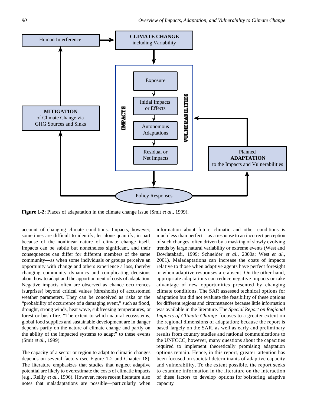

**Figure 1-2**: Places of adapatation in the climate change issue (Smit *et al*., 1999).

account of changing climate conditions. Impacts, however, sometimes are difficult to identify, let alone quantify, in part because of the nonlinear nature of climate change itself. Impacts can be subtle but nonetheless significant, and their consequences can differ for different members of the same community—as when some individuals or groups perceive an opportunity with change and others experience a loss, thereby changing community dynamics and complicating decisions about how to adapt and the apportionment of costs of adaptation. Negative impacts often are observed as chance occurrences (surprises) beyond critical values (thresholds) of accustomed weather parameters. They can be conceived as risks or the "probability of occurrence of a damaging event," such as flood, drought, strong winds, heat wave, subfreezing temperatures, or forest or bush fire. "The extent to which natural ecosystems, global food supplies and sustainable development are in danger depends partly on the nature of climate change and partly on the ability of the impacted systems to adapt" to these events (Smit *et al.*, 1999).

The capacity of a sector or region to adapt to climatic changes depends on several factors (see Figure 1-2 and Chapter 18). The literature emphasizes that studies that neglect adaptive potential are likely to overestimate the costs of climatic impacts (e.g., Reilly *et al.*, 1996). However, more recent literature also notes that maladaptations are possible—particularly when

information about future climatic and other conditions is much less than perfect—as a response to an incorrect perception of such changes, often driven by a masking of slowly evolving trends by large natural variability or extreme events (West and Dowlatabadi, 1999; Schneider *et al.*, 2000a; West *et al.,* 2001). Maladaptations can increase the costs of impacts relative to those when adaptive agents have perfect foresight or when adaptive responses are absent. On the other hand, appropriate adaptations can reduce negative impacts or take advantage of new opportunities presented by changing climate conditions. The SAR assessed technical options for adaptation but did not evaluate the feasibility of these options for different regions and circumstances because little information was available in the literature. The *Special Report on Regional Impacts of Climate Change* focuses to a greater extent on the regional dimensions of adaptation; because the report is based largely on the SAR, as well as early and preliminary results from country studies and national communications to the UNFCCC, however, many questions about the capacities required to implement theoretically promising adaptation options remain. Hence, in this report, greater attention has been focused on societal determinants of adaptive capacity and vulnerability. To the extent possible, the report seeks to examine information in the literature on the interaction of these factors to develop options for bolstering adaptive capacity.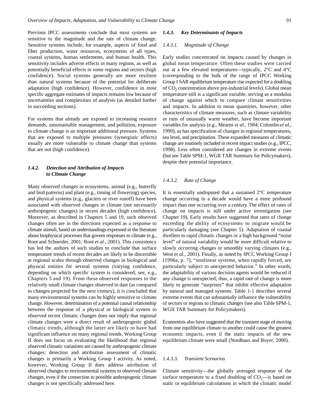Previous IPCC assessments conclude that most systems are sensitive to the magnitude and the rate of climate change. Sensitive systems include, for example, aspects of food and fiber production, water resources, ecosystems of all types, coastal systems, human settlements, and human health. This sensitivity includes adverse effects in many regions, as well as potentially beneficial effects in some regions and sectors (high confidence). Social systems generally are more resilient than natural systems because of the potential for deliberate adaptation (high confidence). However, confidence in most specific aggregate estimates of impacts remains low because of uncertainties and complexities of analysis (as detailed further in succeeding sections).

For systems that already are exposed to increasing resource demands, unsustainable management, and pollution, exposure to climate change is an important additional pressure. Systems that are exposed to multiple pressures (synergistic effects) usually are more vulnerable to climate change than systems that are not (high confidence).

#### *1.4.2. Detection and Attribution of Impacts to Climate Change*

Many observed changes in ecosystems, animal (e.g., butterfly and bird patterns) and plant (e.g., timing of flowering) species, and physical systems (e.g., glaciers or river runoff) have been associated with observed changes in climate (not necessarily anthropogenic changes) in recent decades (high confidence). Moreover, as described in Chapters 5 and 19, such observed changes often are in the directions expected as a response to climate stimuli, based on understandings expressed in the literature about biophysical processes that govern responses to climate (e.g., Root and Schneider, 2001; Root *et al.*, 2001). This consistency has led the authors of such studies to conclude that surface temperature trends of recent decades are likely to be discernible at regional scales through observed changes in biological and physical entities for several systems (varying confidence, depending on which specific system is considered; see, e.g., Chapters 5 and 19). From these observed responses to the relatively small climate changes observed to date (as compared to changes projected for the next century), it is concluded that many environmental systems can be highly sensitive to climate change. However, determination of a potential causal relationship between the response of a physical or biological system to observed recent climatic changes does not imply that regional climate changes were a direct result of anthropogenic global climatic trends, although the latter are likely to have had significant influence on many regional trends. Working Group II does not focus on evaluating the likelihood that regional observed climatic variations are caused by anthropogenic climate changes; detection and attribution assessment of climatic changes is primarily a Working Group I activity. As noted, however, Working Group II does address attribution of observed changes to environmental systems to observed climate changes, even if the connection to possible anthropogenic climate changes is not specifically addressed here.

#### *1.4.3. Key Determinants of Impacts*

#### *1.4.3.1. Magnitude of Change*

Early studies concentrated on impacts caused by changes in global mean temperature. Often these studies were carried out at a few elevated temperatures—typically, 2°C and 4°C (corresponding to the bulk of the range of IPCC Working Group I SAR equilibrium temperature rise expected for a doubling of  $CO<sub>2</sub>$  concentration above pre-industrial levels). Global mean temperature still is a significant variable, serving as a modulus of change against which to compare climate sensitivities and impacts. In addition to mean quantities, however, other characteristics of climate measures, such as climate variability or runs of unusually warm weather, have become important variables for analysis (e.g., Mearns *et al.*, 1984; Colombo *et al.*, 1999), as has specification of changes in regional temperatures, sea level, and precipitation. These expanded measures of climatic change are routinely included in recent impact studies (e.g., IPCC, 1998). Less often considered are changes in extreme events (but see Table SPM-1, WGII TAR Summary for Policymakers), despite their potential importance.

#### *1.4.3.2. Rate of Change*

It is essentially undisputed that a sustained  $2^{\circ}$ C temperature change occurring in a decade would have a more profound impact than one occurring over a century. The effect of rates of change on impacts is still under active investigation (see Chapter 19). Early results have suggested that rates of change exceeding the ability of ecosystems to migrate would be particularly damaging (see Chapter 5). Adaptation of coastal dwellers to rapid climatic changes or a high background "noise level" of natural variability would be more difficult relative to slowly occurring changes or smoothly varying climates (e.g., West *et al.,* 2001). Finally, as noted by IPCC Working Group I (1996a, p. 7), "nonlinear systems, when rapidly forced, are particularly subject to unexpected behavior." In other words, the adaptability of various decision agents would be reduced if any change is unexpected; thus, a rapid rate of change is more likely to generate "surprises" that inhibit effective adaptation by natural and managed systems. Table 1-1 describes several extreme events that can substantially influence the vulnerability of sectors or regions to climatic changes (see also Table SPM-1, WGII TAR Summary for Policymakers).

Economists also have suggested that the transient stage of moving from one equilibrium climate to another could cause the greatest economic impacts, even if the static impacts of the new equilibrium climate were small (Nordhaus and Boyer, 2000).

#### *1.4.3.3. Transient Scenarios*

Climate sensitivity—the globally averaged response of the surface temperature to a fixed doubling of  $CO<sub>2</sub>$ —is based on static or equilibrium calculations in which the climatic model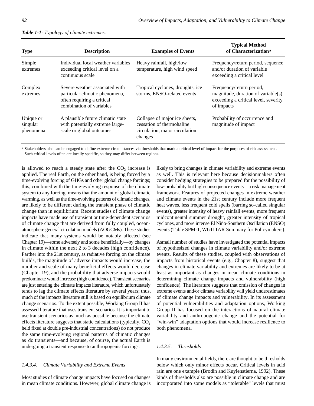| <b>Type</b>                        | <b>Description</b>                                                                                                         | <b>Examples of Events</b>                                                                               | <b>Typical Method</b><br>of Characterization <sup>a</sup>                                                            |
|------------------------------------|----------------------------------------------------------------------------------------------------------------------------|---------------------------------------------------------------------------------------------------------|----------------------------------------------------------------------------------------------------------------------|
| Simple<br>extremes                 | Individual local weather variables<br>exceeding critical level on a<br>continuous scale                                    | Heavy rainfall, high/low<br>temperature, high wind speed                                                | Frequency/return period, sequence<br>and/or duration of variable<br>exceeding a critical level                       |
| Complex<br>extremes                | Severe weather associated with<br>particular climatic phenomena,<br>often requiring a critical<br>combination of variables | Tropical cyclones, droughts, ice<br>storms, ENSO-related events                                         | Frequency/return period,<br>magnitude, duration of variable(s)<br>exceeding a critical level, severity<br>of impacts |
| Unique or<br>singular<br>phenomena | A plausible future climatic state<br>with potentially extreme large-<br>scale or global outcomes                           | Collapse of major ice sheets,<br>cessation of thermohaline<br>circulation, major circulation<br>changes | Probability of occurrence and<br>magnitude of impact                                                                 |

#### *Table 1-1: Typology of climate extremes.*

a Stakeholders also can be engaged to define extreme circumstances via thresholds that mark a critical level of impact for the purposes of risk assessment. Such critical levels often are locally specific, so they may differ between regions.

is allowed to reach a steady state after the  $CO<sub>2</sub>$  increase is applied. The real Earth, on the other hand, is being forced by a time-evolving forcing of GHGs and other global change forcings; this, combined with the time-evolving response of the climate system to any forcing, means that the amount of global climatic warming, as well as the time-evolving patterns of climatic changes, are likely to be different during the transient phase of climatic change than in equilibrium. Recent studies of climate change impacts have made use of transient or time-dependent scenarios of climate change that are derived from fully coupled, oceanatmosphere general circulation models (AOGCMs). These studies indicate that many systems would be notably affected (see Chapter 19)—some adversely and some beneficially—by changes in climate within the next 2 to 3 decades (high confidence). Farther into the 21st century, as radiative forcing on the climate builds, the magnitude of adverse impacts would increase, the number and scale of many beneficial effects would decrease (Chapter 19), and the probability that adverse impacts would predominate would increase (high confidence). Transient scenarios are just entering the climate impacts literature, which unfortunately tends to lag the climate effects literature by several years; thus, much of the impacts literature still is based on equilibrium climate change scenarios. To the extent possible, Working Group II has assessed literature that uses transient scenarios. It is important to use transient scenarios as much as possible because the climate effects literature suggests that static calculations (typically,  $CO<sub>2</sub>$ ) held fixed at double pre-industrial concentrations) do not produce the same time-evolving regional patterns of climatic changes as do transients—and because, of course, the actual Earth is undergoing a transient response to anthropogenic forcings.

#### *1.4.3.4. Climate Variability and Extreme Events*

Most studies of climate change impacts have focused on changes in mean climate conditions. However, global climate change is likely to bring changes in climate variability and extreme events as well. This is relevant here because decisionmakers often consider hedging strategies to be prepared for the possibility of low-probability but high-consequence events—a risk management framework. Features of projected changes in extreme weather and climate events in the 21st century include more frequent heat waves, less frequent cold spells (barring so-called singular events), greater intensity of heavy rainfall events, more frequent midcontinental summer drought, greater intensity of tropical cyclones, and more intense El Niño-Southern Oscillation (ENSO) events (Table SPM-1, WGII TAR Summary for Policymakers).

Asmall number of studies have investigated the potential impacts of hypothesized changes in climate variability and/or extreme events. Results of these studies, coupled with observations of impacts from historical events (e.g., Chapter 8), suggest that changes in climate variability and extremes are likely to be at least as important as changes in mean climate conditions in determining climate change impacts and vulnerability (high confidence). The literature suggests that omission of changes in extreme events and/or climate variability will yield underestimates of climate change impacts and vulnerability. In its assessment of potential vulnerabilities and adaptation options, Working Group II has focused on the interactions of natural climate variability and anthropogenic change and the potential for "win-win" adaptation options that would increase resilience to both phenomena.

#### *1.4.3.5. Thresholds*

In many environmental fields, there are thought to be thresholds below which only minor effects occur. Critical levels in acid rain are one example (Brodin and Kuylenstierna, 1992). These kinds of thresholds also are possible in climate change and are incorporated into some models as "tolerable" levels that must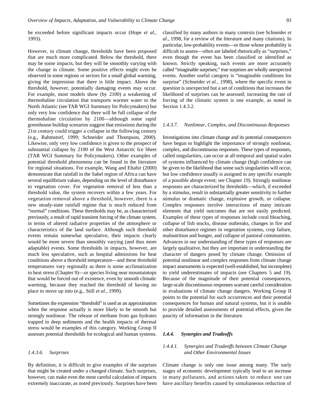be exceeded before significant impacts occur (Hope *et al.*, 1993).

However, in climate change, thresholds have been proposed that are much more complicated. Below the threshold, there may be some impacts, but they will be smoothly varying with the change in climate. Some positive effects might even be observed in some regions or sectors for a small global warming, giving the impression that there is little impact. Above the threshold, however, potentially damaging events may occur. For example, most models show (by 2100) a weakening of thermohaline circulation that transports warmer water to the North Atlantic (see TAR WGI Summary for Policymakers) but only very low confidence that there will be full collapse of the thermohaline circulation by 2100—although some rapid greenhouse buildup scenarios suggest that emissions during the 21st century could trigger a collapse in the following century (e.g., Rahmstorf, 1999; Schneider and Thompson, 2000). Likewise, only very low confidence is given to the prospect of substantial collapse by 2100 of the West Antarctic Ice Sheet (TAR WGI Summary for Policymakers). Other examples of potential threshold phenomena can be found in the literature for regional situations. For example, Wang and Eltahir (2000) demonstrate that rainfall in the Sahel region of Africa can have several equilibrium values, depending on the level of disturbance to vegetation cover. For vegetation removal of less than a threshold value, the system recovers within a few years. For vegetation removal above a threshold, however, there is a new steady-state rainfall regime that is much reduced from "normal" conditions. These thresholds may be, as characterized previously, a result of rapid transient forcing of the climate system, in terms of altered radiative properties of the atmosphere or characteristics of the land surface. Although such threshold events remain somewhat speculative, their impacts clearly would be more severe than smoothly varying (and thus more adaptable) events. Some thresholds in impacts, however, are much less speculative, such as hospital admissions for heat conditions above a threshold temperature—and these threshold temperatures vary regionally as there is some acclimatization to heat stress (Chapter 9)—or species living near mountaintops that would be forced out of existence, even by smooth climatic warming, because they reached the threshold of having no place to move up into (e.g., Still *et al.*, 1999).

Sometimes the expression "threshold" is used as an approximation when the response actually is more likely to be smooth but strongly nonlinear. The release of methane from gas hydrates trapped in deep sediments and the health impacts of thermal stress would be examples of this category. Working Group II assesses potential thresholds for ecological and human systems.

#### *1.4.3.6. Surprises*

By definition, it is difficult to give examples of the surprises that might be created under a changed climate. Such surprises, however, can make even the most careful calculation of impacts extremely inaccurate, as noted previously. Surprises have been classified by many authors in many contexts (see Schneider *et al.*, 1998, for a review of the literature and many citations). In particular, low-probability events—or those whose probability is difficult to assess—often are labeled rhetorically as "surprises," even though the event has been classified or identified as known. Strictly speaking, such events are more accurately called "imaginable surprises;" true surprises are wholly unexpected events. Another useful category is "imaginable conditions for surprise" (Schneider *et al.*, 1998), where the specific event in question is unexpected but a set of conditions that increases the likelihood of surprises can be assessed; increasing the rate of forcing of the climatic system is one example, as noted in Section 1.4.3.2.

#### *1.4.3.7. Nonlinear, Complex, and Discontinuous Responses*

Investigations into climate change and its potential consequences have begun to highlight the importance of strongly nonlinear, complex, and discontinuous responses. These types of responses, called singularities, can occur at all temporal and spatial scales of systems influenced by climate change (high confidence can be given to the likelihood that some such singularities will occur, but low confidence usually is assigned to any specific example of a possible abrupt event; see Chapter 19). Strongly nonlinear responses are characterized by thresholds—which, if exceeded by a stimulus, result in substantially greater sensitivity to further stimulus or dramatic change, explosive growth, or collapse. Complex responses involve interactions of many intricate elements that yield outcomes that are not easily predicted. Examples of these types of responses include coral bleaching, collapse of fish stocks, disease outbreaks, changes in fire and other disturbance regimes in vegetation systems, crop failure, malnutrition and hunger, and collapse of pastoral communities. Advances in our understanding of these types of responses are largely qualitative, but they are important in understanding the character of dangers posed by climate change. Omission of potential nonlinear and complex responses from climate change impact assessments is expected (well-established, but incomplete) to yield underestimates of impacts (see Chapters 5 and 19). Because of the magnitude of their potential consequences, large-scale discontinuous responses warrant careful consideration in evaluations of climate change dangers. Working Group II points to the potential for such occurrences and their potential consequences for human and natural systems, but it is unable to provide detailed assessments of potential effects, given the paucity of information in the literature.

#### *1.4.4. Synergies and Tradeoffs*

#### *1.4.4.1. Synergies and Tradeoffs between Climate Change and Other Environmental Issues*

Climate change is only one issue among many. The early stages of economic development typically lead to an increase in many pollutants, and actions taken to reduce one can have ancillary benefits caused by simultaneous reduction of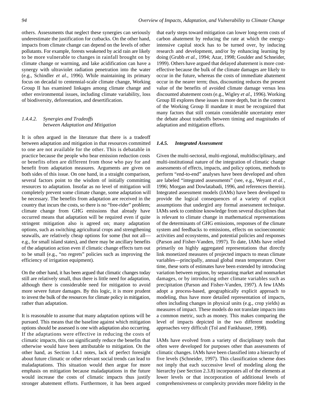others. Assessments that neglect these synergies can seriously underestimate the justification for cutbacks. On the other hand, impacts from climate change can depend on the levels of other pollutants. For example, forests weakened by acid rain are likely to be more vulnerable to changes in rainfall brought on by climate change or warming, and lake acidification can have a synergy with ultraviolet radiation penetration into the water (e.g., Schindler *et al.*, 1996). While maintaining its primary focus on decadal to centennial-scale climate change, Working Group II has examined linkages among climate change and other environmental issues, including climate variability, loss of biodiversity, deforestation, and desertification.

#### *1.4.4.2. Synergies and Tradeoffs between Adaptation and Mitigation*

It is often argued in the literature that there is a tradeoff between adaptation and mitigation in that resources committed to one are not available for the other. This is debatable in practice because the people who bear emission reduction costs or benefits often are different from those who pay for and benefit from adaptation measures. Arguments are given on both sides of this issue. On one hand, in a straight comparison, several factors point to the wisdom of initially committing resources to adaptation. Insofar as no level of mitigation will completely prevent some climate change, some adaptation will be necessary. The benefits from adaptation are received in the country that incurs the costs, so there is no "free-rider" problem; climate change from GHG emissions that already have occurred means that adaptation will be required even if quite stringent mitigation also is agreed on; many adaptation options, such as switching agricultural crops and strengthening seawalls, are relatively cheap options for some (but not all e.g., for small island states), and there may be ancillary benefits of the adaptation action even if climatic change effects turn out to be small (e.g., "no regrets" policies such as improving the efficiency of irrigation equipment).

On the other hand, it has been argued that climatic changes today still are relatively small, thus there is little need for adaptation, although there is considerable need for mitigation to avoid more severe future damages. By this logic, it is more prudent to invest the bulk of the resources for climate policy in mitigation, rather than adaptation.

It is reasonable to assume that many adaptation options will be pursued. This means that the baseline against which mitigation options should be assessed is one with adaptation also occurring. If the adaptations were effective in reducing the costs of climatic impacts, this can significantly reduce the benefits that otherwise would have been attributable to mitigation. On the other hand, as Section 1.4.1 notes, lack of perfect foresight about future climatic or other relevant social trends can lead to maladaptations. This situation would then argue for more emphasis on mitigation because maladaptations in the future would increase the costs of climatic impacts thus justify stronger abatement efforts. Furthermore, it has been argued that early steps toward mitigation can lower long-term costs of carbon abatement by reducing the rate at which the energyintensive capital stock has to be turned over, by inducing research and development, and/or by enhancing learning by doing (Grubb *et al.*, 1994; Azar, 1998; Goulder and Schneider, 1999). Others have argued that delayed abatement is more coste ffective because the bulk of the climate damages are likely to occur in the future, whereas the costs of immediate abatement occur in the nearer term; thus, discounting reduces the present value of the benefits of avoided climate damage versus less discounted abatement costs (e.g., Wigley *et al.*, 1996). Working Group III explores these issues in more depth, but in the context of the Working Group II mandate it must be recognized that many factors that still contain considerable uncertainty enter the debate about tradeoffs between timing and magnitudes of adaptation and mitigation efforts.

#### *1.4.5. Integrated Assessment*

Given the multi-sectoral, multi-regional, multidisciplinary, and multi-institutional nature of the integration of climatic change assessments of effects, impacts, and policy options, methods to perform "end-to-end" analyses have been developed and often are labeled "integrated assessments" (see, e.g., Weyant *et al.*, 1996; Morgan and Dowlatabadi, 1996, and references therein). Integrated assessment models (IAMs) have been developed to provide the logical consequences of a variety of explicit assumptions that undergird any formal assessment technique. IAMs seek to combine knowledge from several disciplines that is relevant to climate change in mathematical representations of the determinants of GHG emissions, responses of the climate system and feedbacks to emissions, effects on socioeconomic activities and ecosystems, and potential policies and responses (Parson and Fisher-Vanden, 1997). To date, IAMs have relied primarily on highly aggregated representations that directly link monetized measures of projected impacts to mean climate variables—principally, annual global mean temperature. Over time, these sorts of estimates have been extended by introducing variation between regions, by separating market and nonmarket damages, or by introducing other climate variables such as precipitation (Parson and Fisher-Vanden, 1997). A few IAMs adopt a process-based, geographically explicit approach to modeling, thus have more detailed representation of impacts, often including changes in physical units (e.g., crop yields) as measures of impact. These models do not translate impacts into a common metric, such as money. This makes comparing the level of impacts depicted in the two different modeling approaches very difficult (Tol and Fankhauser, 1998).

IAMs have evolved from a variety of disciplinary tools that often were developed for purposes other than assessments of climatic changes. IAMs have been classified into a hierarchy of five levels (Schneider, 1997). This classification scheme does not imply that each successive level of modeling along the hierarchy (see Section 2.3.8) incorporates all of the elements at lower levels or that incorporation of additional levels of comprehensiveness or complexity provides more fidelity in the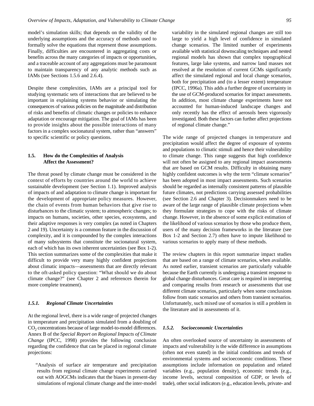model's simulation skills; that depends on the validity of the underlying assumptions and the accuracy of methods used to formally solve the equations that represent those assumptions. Finally, difficulties are encountered in aggregating costs or benefits across the many categories of impacts or opportunities, and a traceable account of any aggregations must be paramount to maintain transparency of any analytic methods such as IAMs (see Sections 1.5.6 and 2.6.4).

Despite these complexities, IAMs are a principal tool for studying systematic sets of interactions that are believed to be important in explaining systems behavior or simulating the consequences of various policies on the magnitude and distribution of risks and benefits of climatic changes or policies to enhance adaptation or encourage mitigation. The goal of IAMs has been to provide insights about the possible interactions of many factors in a complex socionatural system, rather than "answers" to specific scientific or policy questions.

#### **1.5. How do the Complexities of Analysis Affect the Assessment?**

The threat posed by climate change must be considered in the context of efforts by countries around the world to achieve sustainable development (see Section 1.1). Improved analysis of impacts of and adaptation to climate change is important for the development of appropriate policy measures. However, the chain of events from human behaviors that give rise to disturbances to the climatic system; to atmospheric changes; to impacts on humans, societies, other species, ecosystems, and their adaptive responses is very complex (as noted in Chapters 2 and 19). Uncertainty is a common feature in the discussion of complexity, and it is compounded by the complex interactions of many subsystems that constitute the socionatural system, each of which has its own inherent uncertainties (see Box 1-2). This section summarizes some of the complexities that make it difficult to provide very many highly confident projections about climatic impacts—assessments that are directly relevant to the oft-asked policy question: "What should we do about climate change?" (see Chapter 2 and references therein for more complete treatment).

#### *1.5.1. Regional Climate Uncertainties*

At the regional level, there is a wide range of projected changes in temperature and precipitation simulated from a doubling of  $CO<sub>2</sub>$  concentrations because of large model-to-model differences. Annex B of the *Special Report on Regional Impacts of Climate Change* (IPCC, 1998) provides the following conclusion regarding the confidence that can be placed in regional climate projections:

"Analysis of surface air temperature and precipitation results from regional climate change experiments carried out with AOGCMs indicates that the biases in present-day simulations of regional climate change and the inter-model variability in the simulated regional changes are still too large to yield a high level of confidence in simulated change scenarios. The limited number of experiments available with statistical downscaling techniques and nested regional models has shown that complex topographical features, large lake systems, and narrow land masses not resolved at the resolution of current GCMs significantly affect the simulated regional and local change scenarios, both for precipitation and (to a lesser extent) temperature (IPCC, 1996a). This adds a further degree of uncertainty in the use of GCM-produced scenarios for impact assessments. In addition, most climate change experiments have not accounted for human-induced landscape changes and only recently has the effect of aerosols been vigorously investigated. Both these factors can further affect projections of regional climate change."

The wide range of projected changes in temperature and precipitation would affect the degree of exposure of systems and populations to climatic stimuli and hence their vulnerability to climate change. This range suggests that high confidence will not often be assigned to any regional impact assessments that are based on GCM results. Difficulty in obtaining many highly confident outcomes is why the term "climate scenarios" has been adopted in most impact assessments. Such scenarios should be regarded as internally consistent patterns of plausible future climates, not predictions carrying assessed probabilities (see Section 2.6 and Chapter 3). Decisionmakers need to be aware of the large range of plausible climate projections when they formulate strategies to cope with the risks of climate change. However, in the absence of some explicit estimation of the likelihood of various scenarios by those who produce them, users of the many decision frameworks in the literature (see Box 1-2 and Section 2.7) often have to impute likelihood to various scenarios to apply many of these methods.

The review chapters in this report summarize impact studies that are based on a range of climate scenarios, when available. As noted earlier, transient scenarios are particularly valuable because the Earth currently is undergoing a transient response to global change disturbances. Great care is required in interpreting and comparing results from research or assessments that use different climate scenarios, particularly when some conclusions follow from static scenarios and others from transient scenarios. Unfortunately, such mixed use of scenarios is still a problem in the literature and in assessments of it.

#### *1.5.2. Socioeconomic Uncertainties*

An often overlooked source of uncertainty in assessments of impacts and vulnerability is the wide difference in assumptions (often not even stated) in the initial conditions and trends of environmental systems and socioeconomic conditions. These assumptions include information on population and related variables (e.g., population density), economic trends (e.g., income levels, sectoral composition of GDP, or levels of trade), other social indicators (e.g., education levels, private- and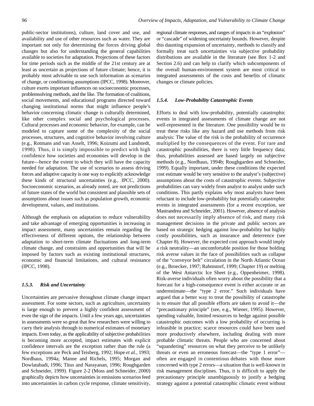public-sector institutions), culture, land cover and use, and availability and use of other resources such as water. They are important not only for determining the forces driving global changes but also for understanding the general capabilities available to societies for adaptation. Projections of these factors for time periods such as the middle of the 21st century are at least as uncertain as projections of future climate; hence, it is probably most advisable to use such information as scenarios of change, or conditioning assumptions (IPCC, 1998). Moreover, culture exerts important influences on socioeconomic processes, problemsolving methods, and the like. The formation of coalitions, social movements, and educational programs directed toward changing institutional norms that might influence people's behavior concerning climatic change is culturally determined, like other complex social and psychological processes. Cultural processes and economic behavior, for example, can be modeled to capture some of the complexity of the social processes, structures, and cognitive behavior involving culture (e.g., Rotmans and van Asselt, 1996; Koizumi and Lundstedt, 1998). Thus, it is simply impossible to predict with high confidence how societies and economies will develop in the future—hence the extent to which they will have the capacity needed for adaptation. The use of scenarios to assess driving forces and adaptive capacity is one way to explicitly acknowledge these kinds of structural uncertainties (e.g., IPCC, 2000). Socioeconomic scenarios, as already noted, are not predictions of future states of the world but consistent and plausible sets of assumptions about issues such as population growth, economic development, values, and institutions.

Although the emphasis on adaptation to reduce vulnerability and take advantage of emerging opportunities is increasing in impact assessment, many uncertainties remain regarding the effectiveness of different options, the relationship between adaptation to short-term climate fluctuations and long-term climate change, and constraints and opportunities that will be imposed by factors such as existing institutional structures, economic and financial limitations, and cultural resistance (IPCC, 1998).

#### *1.5.3. Risk and Uncertainty*

Uncertainties are pervasive throughout climate change impact assessment. For some sectors, such as agriculture, uncertainty is large enough to prevent a highly confident assessment of even the sign of the impacts. Until a few years ago, uncertainties in assessments were so great that few researchers were willing to carry their analysis through to numerical estimates of monetary impacts. Even today, as the applicability of subjective probabilities is becoming more accepted, impact estimates with explicit confidence intervals are the exception rather than the rule (a few exceptions are Peck and Teisberg, 1992; Hope *et al.,* 1993; Nordhaus, 1994a; Manne and Richels, 1995; Morgan and Dowlatabadi, 1996; Titus and Narayanan, 1996; Roughgarden and Schneider, 1999). Figure 2-2 (Moss and Schneider, 2000) graphically depicts how uncertainties in emissions scenarios feed into uncertainties in carbon cycle response, climate sensitivity, regional climate responses, and ranges of impacts in an "explosion" or "cascade" of widening uncertainty bounds. However, despite this daunting expansion of uncertainty, methods to classify and formally treat such uncertainties via subjective probability distributions are available in the literature (see Box 1-2 and Section 2.6) and can help to clarify which subcomponents of the overall human-environment system are most critical to integrated assessments of the costs and benefits of climatic changes or climate policies.

#### *1.5.4. Low-Probability Catastrophic Events*

Efforts to deal with low-probability, potentially catastrophic events in integrated assessments of climate change are not well-represented in the literature. One possibility would be to treat these risks like any hazard and use methods from risk analysis: The value of the risk is the probability of occurrence multiplied by the consequences of the event. For rare and catastrophic possibilities, there is very little frequency data; thus, probabilities assessed are based largely on subjective methods (e.g., Nordhaus, 1994b; Roughgarden and Schneider, 1999). Equally important, under these conditions the expected cost estimate would be very sensitive to the analyst's (subjective) assumptions about the costs of catastrophic events. Subjective probabilities can vary widely from analyst to analyst under such conditions. This partly explains why most analysts have been reluctant to include low-probability but potentially catastrophic events in integrated assessments (for a recent exception, see Mastrandrea and Schneider, 2001). However, absence of analysis does not necessarily imply absence of risk, and many risk management decisions in the private and public sectors are based on strategic hedging against low-probability but highly costly possibilities, such as insurance and deterrence (see Chapter 8). However, the expected cost approach would imply a risk neutrality—an uncomfortable position for those holding risk averse values in the face of possibilities such as collapse of the "conveyor belt" circulation in the North Atlantic Ocean (e.g., Broecker, 1997; Rahmstorf, 1999; Chapter 19) or melting of the West Antarctic Ice Sheet (e.g., Oppenheimer, 1998). Risk-averse individuals often worry about the possibility that a forecast for a high-consequence event is either accurate or an underestimate—the "type 2 error." Such individuals have argued that a better way to treat the possibility of catastrophe is to ensure that all possible efforts are taken to avoid it—the "precautionary principle" (see, e.g., Wiener, 1995). However, spending valuable, limited resources to hedge against possible catastrophic outcomes with a low probability of occurring is infeasible in practice; scarce resources could have been used more productively elsewhere, including dealing with more probable climatic threats. People who are concerned about "squandering" resources on what they perceive to be unlikely threats or even an erroneous forecast—the "type 1 error" often are engaged in contentious debates with those more concerned with type 2 errors—a situation that is well-known in risk management disciplines. Thus, it is difficult to apply the precautionary principle unambiguously to justify a hedging strategy against a potential catastrophic climatic event without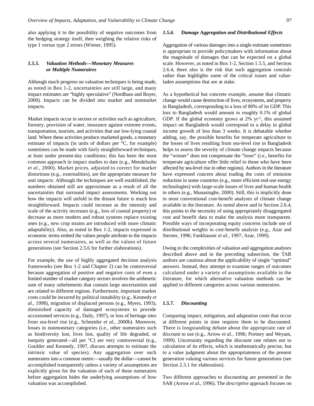also applying it to the possibility of negative outcomes from the hedging strategy itself, then weighing the relative risks of type 1 versus type 2 errors (Wiener, 1995).

#### *1.5.5. Valuation Methods—Monetary Measures or Multiple Numeraires*

Although much progress on valuation techniques is being made, as noted in Box 1-2, uncertainties are still large, and many impact estimates are "highly speculative" (Nordhaus and Boyer, 2000). Impacts can be divided into market and nonmarket impacts.

Market impacts occur in sectors or activities such as agriculture, forestry, provision of water, insurance against extreme events, transportation, tourism, and activities that use low-lying coastal land. Where these activities produce marketed goods, a monetary estimate of impacts (in units of dollars per °C, for example) sometimes can be made with fairly straightforward techniques, at least under present-day conditions; this has been the most common approach in impact studies to date (e.g., Mendelsohn *et al.*, 2000). Market prices, adjusted to correct for market distortions (e.g., externalities), are the appropriate measure for unit impacts. Although the techniques are well established, the numbers obtained still are approximate as a result of all the uncertainties that surround impact assessments. Working out how the impacts will unfold in the distant future is much less straightforward. Impacts could increase as the intensity and scale of the activity increases (e.g., loss of coastal property) or decrease as more modern and robust systems replace existing ones (e.g., new crop strains are introduced with more climatic adaptability). Also, as noted in Box 1-2, impacts expressed in economic terms embed the values people attribute to the impacts across several numeraires, as well as the values of future generations (see Section 2.5.6 for further elaborations).

For example, the use of highly aggregated decision analysis frameworks (see Box 1-2 and Chapter 2) can be controversial because aggregation of positive and negative costs of even a limited number of market category sectors involves the arithmetic sum of many subelements that contain large uncertainties and are related to different regions. Furthermore, important market costs could be incurred by political instability (e.g., Kennedy *et al.*, 1998), migration of displaced persons (e.g., Myers, 1993), diminished capacity of damaged ecosystems to provide accustomed services (e.g., Daily, 1997), or loss of heritage sites from sea-level rise (e.g., Schneider *et al.*, 2000b). Moreover, losses in nonmonetary categories (i.e., other numeraires such as biodiversity lost, lives lost, quality of life degraded, or inequity generated—all per °C) are very controversial (e.g., Goulder and Kennedy, 1997, discuss attempts to estimate the intrinsic value of species). Any aggregation over such numeraires into a common metric—usually the dollar—cannot be accomplished transparently unless a variety of assumptions are explicitly given for the valuation of each of these numeraires before aggregation hides the underlying assumptions of how valuation was accomplished.

#### *1.5.6. Damage Aggregation and Distributional Effects*

Aggregation of various damages into a single estimate sometimes is appropriate to provide policymakers with information about the magnitude of damages that can be expected on a global scale. However, as noted in Box 1-2, Section 1.5.5, and Section 2.6.4, there also is the risk that such aggregation conceals rather than highlights some of the critical issues and valueladen assumptions that are at stake.

As a hypothetical but concrete example, assume that climatic change would cause destruction of lives, ecosystems, and property in Bangladesh, corresponding to a loss of 80% of its GDP. This loss to Bangladesh would amount to roughly 0.1% of global GDP. If the global economy grows at  $2\%$  yr<sup>1</sup>, this assumed impact on Bangladesh would correspond to a delay in global income growth of less than 3 weeks. It is debatable whether adding, say, the possible benefits for temperate agriculture to the losses of lives resulting from sea-level rise in Bangladesh helps to assess the severity of climate change impacts because the "winner" does not compensate the "loser" (i.e., benefits for temperate agriculture offer little relief to those who have been a ffected by sea-level rise in other regions). Authors in the literature have expressed concern about trading the costs of emission reduction in some countries (e.g., more efficient end-use energy technologies) with large-scale losses of lives and human health in others (e.g., Munasinghe, 2000). Still, this is implicitly done in most conventional cost-benefit analyses of climate change available in the literature. As noted above and in Section 2.6.4, this points to the necessity of using appropriately disaggregated cost and benefit data to make the analysis more transparent. Possible ways of incorporating equity concerns include use of distributional weights in cost-benefit analysis (e.g., Azar and Sterner, 1996; Fankhauser *et al.*, 1997; Azar, 1999).

Owing to the complexities of valuation and aggregation analyses described above and in the preceding subsection, the TAR authors are cautious about the applicability of single "optimal" answers. Instead, they attempt to examine ranges of outcomes calculated under a variety of assumptions available in the literature, for which alternative valuation methods can be applied to different categories across various numeraires.

#### *1.5.7. Discounting*

Comparing impact, mitigation, and adaptation costs that occur at different points in time requires them to be discounted. There is longstanding debate about the appropriate rate of discount to use (e.g., Arrow *et al.*, 1996; Portney and Weyant, 1999). Uncertainty regarding the discount rate relates not to calculation of its effects, which is mathematically precise, but to a value judgment about the appropriateness of the present generation valuing various services for future generations (see Section 2.3.1 for elaboration).

Two different approaches to discounting are presented in the SAR (Arrow *et al.*, 1996). The *descriptive* approach focuses on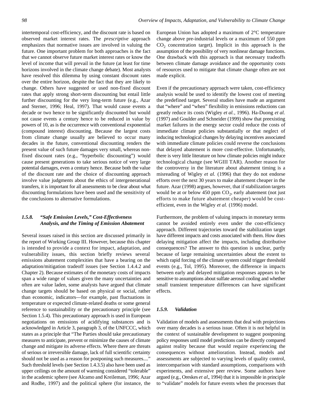intertemporal cost-efficiency, and the discount rate is based on observed market interest rates. The *prescriptive* approach emphasizes that normative issues are involved in valuing the future. One important problem for both approaches is the fact that we cannot observe future market interest rates or know the level of income that will prevail in the future (at least for time horizons involved in the climate change debate). Most analysts have resolved this dilemma by using constant discount rates over the entire horizon, despite the fact that they are likely to change. Others have suggested or used non-fixed discount rates that apply strong short-term discounting but entail little further discounting for the very long-term future (e.g., Azar and Sterner, 1996; Heal, 1997). That would cause events a decade or two hence to be significantly discounted but would not cause events a century hence to be reduced in value by powers of 10, as is the occurrence with conventional exponential (compound interest) discounting. Because the largest costs from climate change usually are believed to occur many decades in the future, conventional discounting renders the present value of such future damages very small, whereas nonfixed discount rates (e.g., "hyperbolic discounting") would cause present generations to take serious notice of very large potential damages, even a century hence. Because both the value of the discount rate and the choice of discounting approach involve value judgments about the ethics of intergenerational transfers, it is important for all assessments to be clear about what discounting formulations have been used and the sensitivity of the conclusions to alternative formulations.

#### *1.5.8. "Safe Emission Levels," Cost-Effectiveness Analysis, and the Timing of Emission Abatement*

Several issues raised in this section are discussed primarily in the report of Working Group III. However, because this chapter is intended to provide a context for impact, adaptation, and vulnerability issues, this section briefly reviews several emissions abatement complexities that have a bearing on the adaptation/mitigation tradeoff issues (see Section 1.4.4.2 and Chapter 2). Because estimates of the monetary costs of impacts span a wide range of values given the many uncertainties and often are value laden, some analysts have argued that climate change targets should be based on physical or social, rather than economic, indicators—for example, past fluctuations in temperature or expected climate-related deaths or some general reference to sustainability or the precautionary principle (see Section 1.5.4). This precautionary approach is used in European negotiations on emissions of acidifying substances and is acknowledged in Article 3, paragraph 3, of the UNFCCC, which states as a principle that "The Parties should take precautionary measures to anticipate, prevent or minimize the causes of climate change and mitigate its adverse effects. Where there are threats of serious or irreversible damage, lack of full scientific certainty should not be used as a reason for postponing such measures...." Such threshold levels (see Section 1.4.3.5) also have been used as upper ceilings on the amount of warming considered "tolerable" in the academic sphere (see Alcamo and Kreileman, 1996; Azar and Rodhe, 1997) and the political sphere (for instance, the European Union has adopted a maximum of 2°C temperature change above pre-industrial levels or a maximum of 550 ppm  $CO<sub>2</sub>$  concentration target). Implicit in this approach is the assumption of the possibility of very nonlinear damage functions. One drawback with this approach is that necessary tradeoffs between climate damage avoidance and the opportunity costs of resources used to mitigate that climate change often are not made explicit.

Even if the precautionary approach were taken, cost-efficiency analysis would be used to identify the lowest cost of meeting the predefined target. Several studies have made an argument that "where" and "when" flexibility in emissions reductions can greatly reduce its costs (Wigley *et al.*, 1996). Ha-Duong *et al.* (1997) and Goulder and Schneider (1999) show that preexisting market failures in the energy sector could reduce the costs of immediate climate policies substantially or that neglect of inducing technological changes by delaying incentives associated with immediate climate policies could reverse the conclusions that delayed abatement is more cost-effective. Unfortunately, there is very little literature on how climate policies might induce technological change (see WGIII TAR). Another reason for the controversy in the literature about abatement timing is a misreading of Wigley *et al.* (1996) that they do not endorse efforts over the next 30 years to make abatement cheaper in the future. Azar (1998) argues, however, that if stabilization targets would be at or below  $450$  ppm  $CO<sub>2</sub>$ , early abatement (not just efforts to make future abatement cheaper) would be costefficient, even in the Wigley et al. (1996) model.

Furthermore, the problem of valuing impacts in monetary terms cannot be avoided entirely even under the cost-efficiency approach. Different trajectories toward the stabilization target have different impacts and costs associated with them. How does delaying mitigation affect the impacts, including distributive consequences? The answer to this question is unclear, partly because of large remaining uncertainties about the extent to which rapid forcing of the climate system could trigger threshold events (e.g., Tol, 1995). Moreover, the difference in impacts between early and delayed mitigation responses appears to be sensitive to assumptions about sulfate aerosol cooling and whether small transient temperature differences can have significant effects.

#### *1.5.9. Validation*

Validation of models and assessments that deal with projections over many decades is a serious issue. Often it is not helpful in the context of sustainable development to suggest postponing policy responses until model predictions can be directly compared against reality because that would require experiencing the consequences without amelioration. Instead, models and assessments are subjected to varying levels of quality control, intercomparison with standard assumptions, comparisons with experiments, and extensive peer review. Some authors have a rgued (e.g., Oreskes *et al.*, 1994) that it is impossible in principle to "validate" models for future events when the processes that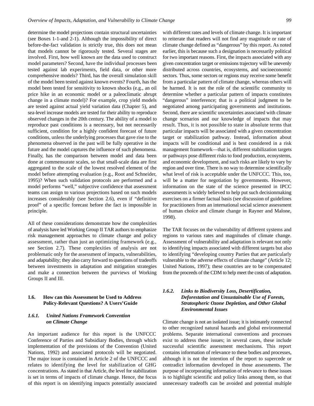determine the model projections contain structural uncertainties (see Boxes 1-1-and 2-1). Although the impossibility of direct before-the-fact validation is strictly true, this does not mean that models cannot be rigorously tested. Several stages are involved. First, how well known are the data used to construct model parameters? Second, have the individual processes been tested against lab experiments, field data, or other more comprehensive models? Third, has the overall simulation skill of the model been tested against known events? Fourth, has the model been tested for sensitivity to known shocks (e.g., an oil price hike in an economic model or a paleoclimatic abrupt change in a climate model)? For example, crop yield models are tested against actual yield variation data (Chapter 5), and sea-level increase models are tested for their ability to reproduce observed changes in the 20th century. The ability of a model to reproduce past conditions is a necessary, but not necessarily sufficient, condition for a highly confident forecast of future conditions, unless the underlying processes that gave rise to the phenomena observed in the past will be fully operative in the future and the model captures the influence of such phenomena. Finally, has the comparison between model and data been done at commensurate scales, so that small-scale data are first aggregated to the scale of the lowest resolved element of the model before attempting evaluation (e.g., Root and Schneider, 1995)? When such validation protocols are performed and a model performs "well," subjective confidence that assessment teams can assign to various projections based on such models increases considerably (see Section 2.6), even if "definitive proof" of a specific forecast before the fact is impossible in principle.

All of these considerations demonstrate how the complexities of analysis have led Working Group II TAR authors to emphasize risk management approaches to climate change and policy assessment, rather than just an optimizing framework (e.g., see Section 2.7). These complexities of analysis are not problematic only for the assessment of impacts, vulnerabilities, and adaptability; they also carry forward to questions of tradeoffs between investments in adaptation and mitigation strategies and make a connection between the purviews of Working Groups II and III.

#### **1.6. How can this Assessment be Used to Address Policy-Relevant Questions? A Users'Guide**

#### *1.6.1. United Nations Framework Convention on Climate Change*

An important audience for this report is the UNFCCC Conference of Parties and Subsidiary Bodies, through which implementation of the provisions of the Convention (United Nations, 1992) and associated protocols will be negotiated. The major issue is contained in Article 2 of the UNFCCC and relates to identifying the level for stabilization of GHG concentrations. As stated in that Article, the level for stabilization is set in terms of impacts of climate change. Hence, the focus of this report is on identifying impacts potentially associated

with different rates and levels of climate change. It is important to reiterate that readers will not find any magnitude or rate of climate change defined as "dangerous" by this report. As noted earlier, this is because such a designation is necessarily political for two important reasons. First, the impacts associated with any given concentration target or emissions trajectory will be unevenly distributed across countries, ecosystems, and socioeconomic sectors. Thus, some sectors or regions may receive some benefit from a particular pattern of climate change, whereas others will be harmed. It is not the role of the scientific community to determine whether a particular pattern of impacts constitutes "dangerous" interference; that is a political judgment to be negotiated among participating governments and institutions. Second, there are scientific uncertainties associated with climate change scenarios and our knowledge of impacts that may result. Thus, it is not possible to state in absolute terms that particular impacts will be associated with a given concentration target or stabilization pathway. Instead, information about impacts will be conditional and is best considered in a risk management framework—that is, different stabilization targets or pathways pose different risks to food production, ecosystems, and economic development, and such risks are likely to vary by region and over time. There is no way to determine scientifically what level of risk is acceptable under the UNFCCC. This, too, will be a matter for negotiation by governments. However, information on the state of the science presented in IPCC assessments is widely believed to help put such decisionmaking exercises on a firmer factual basis (see discussion of guidelines for practitioners from an international social science assessment of human choice and climate change in Rayner and Malone, 1998).

The TAR focuses on the vulnerability of different systems and regions to various rates and magnitudes of climate change. Assessment of vulnerability and adaptation is relevant not only to identifying impacts associated with different targets but also to identifying "developing country Parties that are particularly vulnerable to the adverse effects of climate change" (Article 12; United Nations, 1997); these countries are to be compensated from the proceeds of the CDM to help meet the costs of adaptation.

#### *1.6.2. Links to Biodiversity Loss, Desertification, Deforestation and Unsustainable Use of Forests, Stratospheric Ozone Depletion, and Other Global Environmental Issues*

Climate change is not an isolated issue; it is intimately connected to other recognized natural hazards and global environmental problems. Separate international conventions and processes exist to address these issues; in several cases, these include successful scientific assessment mechanisms. This report contains information of relevance to these bodies and processes, although it is not the intention of the report to supercede or contradict information developed in those assessments. The purpose of incorporating information of relevance to these issues is to highlight scientific and policy links among them, so that unnecessary tradeoffs can be avoided and potential multiple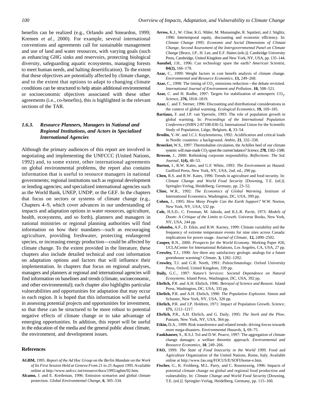benefits can be realized (e.g., Orlando and Smeardon, 1999; Kremen *et al.*, 2000). For example, several international conventions and agreements call for sustainable management and use of land and water resources, with varying goals (such as enhancing GHG sinks and reservoirs, protecting biological diversity, safeguarding aquatic ecosystems, managing forests to meet human needs, and halting desertification). To the extent that these objectives are potentially affected by climate change, and to the extent that options to adapt to changing climate conditions can be structured to help attain additional environmental or socioeconomic objectives associated with these other agreements (i.e., co-benefits), this is highlighted in the relevant sections of the TAR.

#### *1.6.3. Resource Planners, Managers in National and Regional Institutions, and Actors in Specialized International Agencies*

Although the primary audiences of this report are involved in negotiating and implementing the UNFCCC (United Nations, 1992) and, to some extent, other international agreements on global environmental problems, the report also contains information that is useful to resource managers in national governments; regional institutions such as regional development or lending agencies; and specialized international agencies such as the World Bank, UNEP, UNDP, or the GEF. In the chapters that focus on sectors or systems of climate change (e.g., Chapters 4–9, which cover advances in our understanding of impacts and adaptation options in water resources, agriculture, health, ecosystems, and so forth), planners and managers in national ministries or regional planning authorities will find information on how their mandates—such as encouraging agriculture, providing freshwater, protecting endangered species, or increasing energy production—could be affected by climate change. To the extent provided in the literature, these chapters also include detailed technical and cost information on adaptation options and factors that will influence their implementation. In chapters that focus on regional analyses, managers and planners at regional and international agencies will find information on baselines and trends (climate, socioeconomic, and other environmental); each chapter also highlights particular vulnerabilities and opportunities for adaptation that may occur in each region. It is hoped that this information will be useful in assessing potential projects and opportunities for investment, so that these can be structured to be more robust to potential negative effects of climate change or to take advantage of emerging opportunities. In addition, this report will be useful in the education of the media and the general public about climate, the environment, and development issues.

#### **References**

- **AGBM,** 1995: *Report of the Ad Hoc Group on the Berlin Mandate on the Work of Its First Session Held at Geneva From 21 to 25 August 1995*.Available online at http://www.unfccc.int/resource/docs/1995/agbm/02.htm.
- **Alcamo,** J. and E. Kreileman, 1996: Emission scenarios and global climate protection. *Global Environmental Change*, **6**, 305–334.
- **A r ro w,** K.J., W. Cline, K.G. Mäler, M. Munasinghe, R. Squitieri, and J. Stiglitz, 1996: Intertemporal equity, discounting and economic efficiency. In: *Climate Change 1995: Economic and Social Dimensions of Climate Change, Second Assessment of the Intergovernmental Panel on Climate Change* [Bruce, J.P., H. Lee, and E.F. Haites (eds.)]. Cambridge University Press, Cambridge, United Kingdom and New York, NY, USA, pp. 135–144.
- **Ausubel,** J.H., 1996: Can technology spare the earth? *American Scientist*, **84(2),** 166–178.
- **Azar,** C., 1999: Weight factors in cost benefit analysis of climate change. *Environmental and Resource Economics*, **13,** 249–268.
- **Azar,** C., 1998: The timing of  $CO_2$  emissions reduction—the debate revisited. *International Journal of Environment and Pollution*, **10,** 508–521.
- **Azar,** C. and H. Rodhe, 1997: Targets for stabilization of atmosperic  $CO_2$ . *Science*, **276,** 1818–1819.
- **Azar,** C. and T. Sterner, 1996: Discounting and distributional considerations in the context of global warming. *Ecological Economics*, **19,** 169–185.
- **Bartiaux,** F. and J.P. van Ypersele, 1993: The role of population growth in global warming. In: *P roceedings of the International Population Conference* (ISBN 2-87108-030-5). International Union for the Scientific Study of Population, Liège, Belgium, **4,** 33–54.
- **Brodin,** Y.-W. and J.C.I. Kuylenstierna, 1992: Acidification and critical loads in Nordic countries: a background. *Ambio*, **21**, 332–338.
- **Broecker,** W.S., 1997: Thermohaline circulation, the Achilles heel of our climate system: will man-made CO<sub>2</sub> upset the current balance? *Science*, **278**, 1582-1588.
- **Browne,** J., 2000: Rethinking corporate responsibility. *Reflections: The SoL Journal*, **1(4),** 48–53.
- **Burton,** I., R.W. Kates, and G.F. White, 1993: *The Environment as Hazard*. Guilford Press, New York, NY, USA, 2nd. ed., 290 pp.
- **Chen,** R.S. and R.W. Kates, 1996: Trends in agriculture and food security. In: *Climate Change and World Food Security* [Downing, T.E. (ed.)]. Springler-Verlag, Heidelberg, Germany, pp. 23–52.
- Cline, W.R., 1992: The Economics of Global Warming. Institute of International Economics, Washington, DC, USA, 399 pp.
- **Cohen,** J., 1995: *How Many People Can the Earth Support?* W.W. Norton, New York, NY, USA, 532 pp.
- **Cole,** H.S.D., C. Freeman, M. Jahoda, and K.L.R. Pavitt, 1973: *Models of Doom: A Critique of the Limits to Growth*. Universe Books, New York, NY, USA, 244 pp.
- **Colombo,** A.F., D. Etkin, and B.W. Karney, 1999: Climate variability and the frequency of extreme temperature events for nine sites across Canada: implications for power usage. *Journal of Climate*, **12,** 2490–2502.
- **Cooper,** R.N., 2000: *Prospects for the World Economy*. Working Paper #26, UCLACenter for International Relations, Los Angeles, CA, USA, 27 pp.
- **Crowley,** T.J., 1990: Are there any satisfactory geologic analogs for a future greenhouse warming? *Climate*, **3,** 1282–1292.
- **Crowley,** T.J. and G.R. North, 1991: *Paleoclimatology*. Oxford University Press, Oxford, United Kingdom, 339 pp.
- Daily, G.C., 1997: Nature's Services: Societal Dependence on Natural *Ecosystems*. Island Press, Washington, DC, USA, 392 pp.
- **Ehrlich,** P.R. and A.H. Ehrlich, 1996: *Betrayal of Science and Reason*. Island Press, Washington, DC, USA, 335 pp.
- **Ehrlich,** P.R. and A.H. Ehrlich, 1990: *The Population Explosion*. Simon and Schuster, New York, NY, USA, 320 pp.
- **Ehrlich,** P.R. and J.P. Holdren, 1971: Impact of Population Growth. *Science*, **171,** 1212–1217.
- **Ehrlich,** P.R., A.H. Ehrlich, and G. Daily, 1995: *The Stork and the Plow*. Putnam, New York, NY, USA, 364 pp.
- **Etkin,** D.A., 1999: Risk transference and related trends: driving forces towards more mega-disasters. *Environmental Hazards*, **1,** 69–75.
- **Fankhauser,** S., R.S.J. Tol and D.W. Pearce, 1997: The aggregation of climate change damages: a welfare theoretic approach. *Environmental and Resource Economics*, **10**, 249–266.
- **FAO,** 1999: *The State of Food Insecurity in the World 1999*. Food and Agriculture Organization of the United Nations, Rome, Italy. Available online at http://www.fao.org/FOCUS/E/SOFI/home-e.htm.
- **Fischer,** G., K. Frohberg, M.L. Parry, and C. Rosenzweig, 1996: Impacts of potential climate change on global and regional food production and vulnerability. In: *Climate Change and World Food Security* [Downing, T.E. (ed.)]. Springler-Verlag, Heidelberg, Germany, pp. 115–160.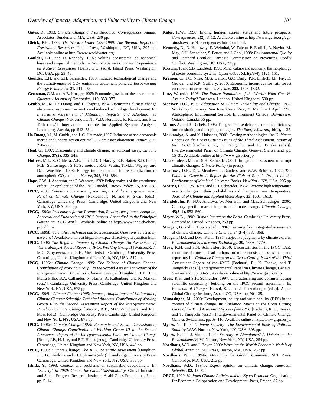- **Gates,** D., 1993: *Climate Change and its Biological Consequences*. Sinauer Associates, Sunderland, MA, USA, 280 pp.
- **Gleick,** P.H., 1998: *The World's Water 1998-1999: The Biennial Report on Freshwater Resources*. Island Press, Washington, DC, USA, 307 pp. Available online at http://www.worldwater.org.
- **Goulder,** L.H. and D. Kennedy, 1997: Valuing ecosystems: philosophical bases and empirical methods. In: *Nature's Services: Societal Dependence on Natural Ecosystems* [Daily, G.C. (ed.)]. Island Press, Washington, DC, USA, pp. 23–48.
- **Goulder,** L.H. and S.H. Schneider, 1999: Induced technological change and the attractiveness of CO<sub>2</sub> emissions abatement policies. *Resource and Energy Economics*, **21,** 211–253.
- **Grossman, G.M.** and A.B. Krueger, 1995: Economic growth and the environment. *Quarterly Journal of Economics*, **110,** 353–377.
- **Grubb,** M., M. Ha-Duong, and T. Chapuis, 1994: Optimizing climate change abatement responses: on inertia and induced technology development. In: *Integrative Assessment of Mitigation, Impacts, and Adaptation to Climate Change* [Nakicenovic, N., W.D. Nordhaus, R. Richels, and F.L. Toth (eds.)]. International Institute for Applied Systems Analysis, Laxenburg, Austria, pp. 513–534.
- Ha-Duong, M., M. Grubb., and J.-C. Hourcade, 1997: Influence of socioeconomic inertia and uncertainty on optimal CO<sub>2</sub> emission abatement. *Nature*, **390**, 270–273.
- **Heal,** G., 1997: Discounting and climate change, an editorial essay. *Climatic Change*, **37(2),** 335–343.
- **Hoffert,** M.I., K. Caldeira, A.K. Jain, L.D.D. Harvey, E.F. Haites, S.D. Potter, M.E. Schlesinger, S.H. Schneider, R.G. Watts, T.M.L. Wigley, and D.J. Wuebbles, 1998: Energy implications of future stabilization of atmospheric CO<sub>2</sub> content. *Nature*, **395,** 881–884.
- Hope, C.W., J. Anderson, and P. Wenman, 1993: Policy analysis of the greenhouse effect—an application of the PAGE model. *Energy Policy*, **15,** 328–338.
- **IPCC,** 2000: *Emissions Scenarios. Special Report of the Intergovernmental Panel on Climate Change* [Nakicenovic, N. and R. Swart (eds.)]. Cambridge University Press, Cambridge, United Kingdom and New York, NY, USA, 599 pp.
- **IPCC,** 1999a: *Procedures for the Preparation, Review, Acceptance, Adoption, Approval and Publication of IPCC Reports. Appendix A to the Principles Governing IPCC Work*. Available online at http://www.ipcc.ch/about/ procd.htm.
- **IPCC,** 1999b: *Scientific, Technical and Socioeconomic Questions Selected by the Panel*. Available online at http://www.ipcc.ch/activity/tarquestion.html.
- **IPCC,** 1998: *The Regional Impacts of Climate Change. An Assessment of Vulnerability.A Special Report of IPCC Working Group II* [Watson, R.T., M.C. Zinyowera, and R.H. Moss (eds.)]. Cambridge University Press, Cambridge, United Kingdom and New York, NY, USA, 517 pp.
- **IPCC,** 1996a: *Climate Change 1995: The Science of Climate Change. Contribution of Working Group I to the Second Assessment Report of the Intergovernmental Panel on Climate Change* [Houghton, J.T., L.G. Meira Filho, B.A. Callander, N. Harris, A. Kattenberg, and K. Maskell (eds.)]. Cambridge University Press, Cambridge, United Kingdom and New York, NY, USA, 572 pp.
- **IPCC,** 1996b: *Climate Change 1995: Impacts, Adaptations and Mitigation of Climate Change: Scientific-Technical Analyses. Contribution of Working Group II to the Second Assessment Report of the Intergovernmental Panel on Climate Change* [Watson, R.T., M.C. Zinyowera, and R.H. Moss (eds.)]. Cambridge University Press, Cambridge, United Kingdom and New York, NY, USA, 878 pp.
- **IPCC,** 1996c: *Climate Change 1995: Economic and Social Dimensions of Climate Change. Contribution of Working Group III to the Second Assessment Report of the Intergovernmental Panel on Climate Change* [Bruce, J.P., H. Lee, and E.F. Haites (eds.)]. Cambridge University Press, Cambridge, United Kingdom and New York, NY, USA, 448 pp.
- **IPCC,** 1990: *Climate Change: The IPCC Scientific Assessment* [Houghton, J.T., G.J. Jenkins, and J.J. Ephraims (eds.)]. Cambridge University Press, Cambridge, United Kingdom and New York, NY, USA, 365 pp.
- **Ishida,** Y., 1998: Context and problems of sustainable development. In: *"Society" in 2050: Choice for Global Sustainability*. Global Industrial and Social Progress Research Institute, Asahi Glass Foundation, Japan, pp. 5–14.
- **Kates,** R.W., 1996: Ending hunger: current status and future prospects. *Consequences*, **2(2),** 3–12. Available online at http://www.gcrio.org/cgibin/showcase?/Consequences/IntroCon.html.
- **Kennedy,** D., D. Holloway, E. Weinthal, W. Falcon, P. Ehrlich, R. Naylor, M. May, S.H. Schneider, S. Fetter, and J. Choi, 1998: *Environmental Quality and Regional Conflict.* Carnegie Commission on Preventing Deadly Conflict, Washington, DC, USA, 72 pp.
- Koizumi, T. and S.B. Lundstedt, 1998: Mind, culture and economy: the morphology of socio-economic systems. *Cybernetica*, **XLI(2/3/4),** 1121–151.
- **Kremen,** C., J.O. Niles, M.G. Dalton, G.C. Daily, P.R. Ehrlich, J.P. Fay, D. Grewal, and R.P. Guillery, 2000: Economic incentives for rain forest conservation across scales. *Science*, 288, 1828-1832.
- **Lutz,** W. (ed.), 1996: *The Future Population of the World: What Can We Assume Today?* Earthscan, London, United Kingdom, 500 pp.
- **MacIver,** D.C., 1998: *Adaptation to Climate Variability and Change*. IPCC Workshop Summary, San Jose, Costa Rica, 29 March - 1 April 1998. Atmospheric Environment Service, Environment Canada, Downsview, Ontario, Canada, 55 pp.
- Manne, A. and R. Richels, 1995: The greenhouse debate: economic efficiency, burden sharing and hedging strategies. *The Energy Journal*, **16(4),** 1–37.
- **Markandya,** A. and K. Halsnaes, 2000: Costing methodologies. In: *Guidance Papers on the Cross Cutting Issues of the Third Assessment Report of the IPCC* [Pachauri, R., T. Taniguchi, and K. Tanaka (eds.)]. Intergovernmental Panel on Climate Change, Geneva, Switzerland, pp. 15–31. Available online at http://www.gispri.or.jp.
- **Mastrandrea,** M. and S.H. Schneider, 2001: Integrated assessment of abrupt climatic changes. *Climate Policy* (in press).
- **Meadows,** D.H., D.L. Meadows, J. Randers, and W.W. Behrens, 1972: *The Limits to Growth: A Report for the Club of Rome's Project on the Predicament of Mankind*. Universe Books, New York, NY, USA, 205 pp.
- Mearns, L.O., R.W. Katz, and S.H. Schneider, 1984: Extreme high temperature events: changes in their probabilities and changes in mean temperature. *Journal of Climate and Applied Meterology*, **23,** 1601–1613.
- **Mendelsohn,** R., N.G. Androva, W. Morrison, and M.E. Schlesinger, 2000: Country-specific market impacts of climate change. *Climatic Change*, **45(3–4),** 553–569.
- **Meyer,** W.B., 1996: *Human Impact on the Earth*. Cambridge University Press, Cambridge, United Kingdom, 253 pp.
- **Morgan,** G. and H. Dowlatabadi, 1996: Learning from integrated assessment of climate change, *Climatic Change,* **34(3–4),** 337–368.
- Morgan, M.G. and D.W. Keith, 1995: Subjective judgments by climate experts. *Environmental Science and Technology*, **29,** 468A–477A.
- Moss, R.H. and S.H. Schneider, 2000: Uncertainties in the IPCC TAR: recommendations to lead authors for more consistent assessment and reporting. In: *Guidance Papers on the Cross Cutting Issues of the Third Assessment Report of the IPCC* [Pachauri, R., K. Tanaka, and T. Taniguchi (eds.)]. Intergovernmental Panel on Climate Change, Geneva, Switzerland, pp. 33–51. Available online at http://www.gispri.or.jp.
- Moss, R.H. and S.H. Schneider, 1997: Characterizing and communicating scientific uncertainty: building on the IPCC second assessment. In: *Elements of Change* [Hassol, S.J. and J. Katzenberger (eds.)]. Aspen Global Change Institute, Aspen, CO, USA, pp. 90–135.
- **Munasinghe,** M., 2000: Development, equity and sustainability (DES) in the context of climate change. In: *Guidance Papers on the Cross Cutting Issues of the Third Assessment Report of the IPCC* [Pachauri, R., K. Tanaka, and T. Taniguchi (eds.)]. Intergovernmental Panel on Climate Change, Geneva, Switzerland, pp. 69-110. Available online at http://www.gispri.or.jp.
- **Myers,** N., 1993: *Ultimate Security—The Environmental Basis of Political Stability*. W.W. Norton, New York, NY, USA, 308 pp.
- **Myers,** N. and J. Simon, 1994: *Scarcity or Abundance? A Debate on the Environment*. W.W. Norton, New York, NY, USA, 254 pp.
- **Nordhaus,** W.D. and J. Boyer, 2000: *Warming the World: Economic Models of Global Warming*. MITPress, Boston, MA, USA, 232 pp.
- Nordhaus, W.D., 1994a: *Managing the Global Commons*. MIT Press, Cambridge, MA, USA, 213 pp.
- **Nordhaus,** W.D., 1994b: Expert opinion on climatic change. *American Scientist*, **82,** 45–52.
- **OECD,** 1999: *National Climate Policies and the Kyoto Protocol*. Organisation for Economic Co-operation and Development, Paris, France, 87 pp.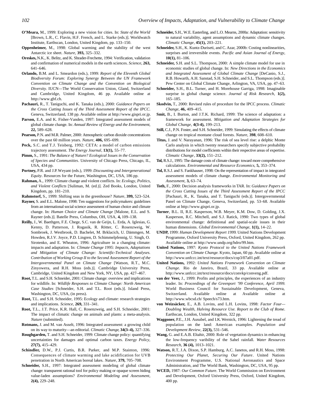- **O'Meara,** M., 1999: Exploring a new vision for cities. In: *State of the World* [Brown, L.R., C. Flavin, H.F. French, and L. Starke (eds.)]. Worldwatch Institute, Earthscan, London, United Kingdom, pp. 133–150.
- **Oppenheimer,** M., 1998: Global warming and the stability of the west Antarctic ice sheet. *Nature*, **393,** 325–332.
- **Oreskes, N.K., K. Belitz, and K. Shrader-Frechette, 1994: Verification, validation** and confirmation of numerical models in the earth sciences. *Science*, **263,** 641–646.
- **Orlando,** B.M. and L. Smeardon (eds.), 1999: *Report of the Eleventh Global Biodiversity Forum: Exploring Synergy Between the UN Framework Convention on Climate Change and the Convention on Biological Diversity*. IUCN—The World Conservation Union, Gland, Switzerland and Cambridge, United Kingdom, 46 pp. Available online at http://www.gbf.ch.
- **Pachauri,** R., T. Taniguchi, and K. Tanaka (eds.), 2000: *Guidance Papers on the Cross Cutting Issues of the Third Assessment Report of the IPCC*. Geneva, Switzerland, 138 pp. Available online at http://www.gispri.or.jp.
- **Parson,** E.A. and K. Fisher-Vanden, 1997: Integrated assessment models of global climate change. In: Annual Review of Energy and the Environment, **22,** 589–628.
- Pearson, P.N. and M.R. Palmer, 2000: Atmospheric carbon dioxide concentrations over the past 60 million years. *Nature*, **406,** 695–699.
- Peck, S.C. and T.J. Teisberg, 1992: CETA: a model of carbon emissions trajectory assessment. *The Energy Journal*, **13(1)**, 55-77.
- Pimm, S., 1991: *The Balance of Nature? Ecological Issues in the Conservation of Species and Communities*. University of Chicago Press, Chicago, IL, USA, 434 pp.
- **Portney,** P.R. and J.P.Weyant (eds.), 1999: *Discounting and Intergenerational Equity*. Resources for the Future, Washington, DC, USA, 186 pp.
- **Rahman,** A., 1999: Climate change and violent conflicts. In: *Ecology, Politics, and Violent Conflicts* [Suliman, M. (ed.)]. Zed Books, London, United Kingdom, pp. 181–210.
- **Rahmstorf,** S., 1999: Shifting seas in the greenhouse? *Nature*, **399,** 523–524.
- **Rayner, S.** and E.L. Malone, 1998: Ten suggestions for policymakers: guidelines from an international social science assessment of human choice and climate change. In: *Human Choice and Climate Change* [Malone, E.L. and S. Rayner (eds.)]. Batelle Press, Columbus, OH, USA, **4,** 109–138.
- **Reilly,** J., W. Baethgen, F.E. Chege, S.C. van de Geijn, L. Erda, A. Iglesias, G. Kenny, D. Patterson, J. Rogasik, R. Rötter, C. Rosenzweig, W. Sombroek, J. Westbrook, D. Bachelet, M. Brklacich, U. Dämmgen, M. Howden, R.J.V. Joyce, P.D. Lingren, D. Schimmelpfennig, U. Singh, O. Sirotenko, and E. Wheaton, 1996: Agriculture in a changing climate: impacts and adaptation. In: *Climate Change 1995: Impacts, Adaptations* and Mitigation of Climate Change: Scientific-Technical Analyses. *Contribution of Working Group II to the Second Assessment Report of the I n t e rgovernmental Panel on Climate Change* [ Watson, R.T., M.C. Zinyowera, and R.H. Moss (eds.)]. Cambridge University Press, Cambridge, United Kingdom and New York, NY, USA, pp. 427–467.
- **Root,** T.L. and S.H. Schneider, 2001: Climate change: overview and implications for wildlife. In: *Wildlife Responses to Climate Change: North American Case Studies* [Schneider, S.H. and T.L. Root (eds.)]. Island Press, Washington, DC, USA, (in press).
- **Root,** T.L. and S.H. Schneider, 1995: Ecology and climate: research strategies and implications. *Science*, **269,** 331–341.
- **Root,** T.L., J.T. Price, K.R. Hall, C. Rosenzweig, and S.H. Schneider, 2001: The impact of climatic change on animals and plants: a meta-analysis. *Nature* (submitted).
- **Rotmans,** J. and M. van Asselt, 1996: Integrated assessment: a growing child on its way to maturity—an editorial. *Climatic Change*, 34(3-4), 327-336.
- **Roughgarden,** T. and S.H. Schneider, 1999: Climate change policy: quantifying uncertainties for damages and optimal carbon taxes. *Energy Policy*, **27(7),** 415–429.
- Schindler, D.W., P.J. Curtis, B.R. Parker, and M.P. Stainton, 1996: Consequences of climate warming and lake acidification for UVB penetration in North American boreal lakes. *Nature*, 379, 705-708.
- **Schneider,** S.H., 1997: Integrated assessment modeling of global climate change: transparent rational tool for policy making or opaque screen hiding value-laden assumptions? *Environmental Modeling and Assessment*, **2(4),** 229–248.
- Schneider, S.H., W.E. Easterling, and L.O. Mearns, 2000a: Adaptation: sensitivity to natural variability, agent assumptions and dynamic climate changes. *Climatic Change*, **45(1),** 203–221.
- Schneider, S.H., K. Kuntz-Duriseti, and C. Azar, 2000b: Costing nonlinearities, surprises and irreversible events. *Pacific and Asian Journal of Energy*, **10(1),** 81–106.
- **Schneider,** S.H. and S.L. Thompson, 2000: A simple climate model for use in economic studies of global change. In: *New Directions in the Economics and Integrated Assessment of Global Climate Change* [DeCanio, S.J., R.B. Howarth, A.H. Sanstad, S.H. Schneider, and S.L. Thompson (eds.)]. Pew Center on Global Climate Change, Arlington, VA, USA, pp. 47–63.
- **Schneider,** S.H., B.L. Turner, and H. Morehouse Garriga, 1998: Imaginable surprise in global change science. *Journal of Risk Research*, **1(2),** 165–185.
- **Skodvin,** T., 2000: Revised rules of procedure for the IPCC process. *Climatic Change*, **46,** 409–415.
- **Smit,** B., I. Burton, and J.T.K. Richard, 1999: The science of adaptation: a framework for assessment. *Mitigation and Adaptation Strategies for Global Change*, **4(3-4),** 199–213.
- Still, C.J., P.N. Foster, and S.H. Schneider, 1999: Simulating the effects of climate change on tropical montane cloud forests. *Nature*, **398**, 608–610.
- **Titus,** J. and V. Narayanan, 1996: The risk of sea level rise: a delphic Monte Carlo analysis in which twenty researchers specify subjective probability distributions for model coefficients within their respective areas of expertise. *Climatic Change*, **33(2),** 151–212.
- Tol, R.S.J., 1995: The damage costs of climate change: toward more comprehensive calculations. *Environmental and Resource Economics*, **5,** 353–374.
- Tol, R.S.J. and S. Fankhauser, 1998: On the representation of impact in integrated assessment models of climate change. *Environmental Monitoring and Assessment*, **3,** 63–74.
- **Toth,** F., 2000: Decision analysis frameworks in TAR. In: *Guidance Papers on the Cross Cutting Issues of the Third Assessment Report of the IPCC* [Pachauri, R., K. Tanaka, and T. Taniguchi (eds.)]. Intergovernmental Panel on Climate Change, Geneva, Switzerland, pp. 53–68. Available online at http://www.gispri.or.jp.
- **Turner**, B.L. II, R.E. Kasperson, W.B. Meyer, K.M. Dow, D. Golding, J.X. Kasperson, R.C. Mitchell, and S.J. Ratick, 1990: Two types of global environmental change: definitional and spatial-scale issues in their human dimensions. *Global Environmental Change,* **1(1),** 14–22.
- **UNDP,** 1999: *Human Development Report 1999*. United Nations Development Programme, Oxford University Press, Oxford, United Kingdom, 262 pp. Available online at http://www.undp.org/hdro/99.htm.
- **United Nations,** 1997: *Kyoto Protocol to the United Nations Framework Convention on Climate Change*. Kyoto, Japan, 60 pp. Available online at http://www.unfccc.int/text/resource/docs/cop3/07a01.pdf.
- **United Nations,** 1992: *United Nations Framework Convention on Climate Change*. Rio de Janeiro, Brazil, 33 pp. Available online at http://www.unfccc.int/text/resource/docs/convkp/conveng.pdf.
- **van der Veer,** J., 1999: Profits and principles, the experiences of an industry leader. In: *Proceedings of the Greenport '99 Conference, April 1999*. World Business Council for Sustainable Development, Geneva, Switzerland. Available online at Available online at http://www.wbcsd.ch/ Speech/s73.htm.
- **von Weizsäcker,** E., A.B. Lovins, and L.H. Lovins, 1998: *Factor Four— Doubling Wealth, Halving Resource Use. Report to the Club of Rome*. Earthscan, London, United Kingdom, 322 pp.
- **Waggoner,** P.E., J.H. Ausubel, and I.K. Wernick, 1996: Lightening the tread of population on the land: American examples. *Population and Development Review*, **22(3),** 531–546.
- **Wang,** G. and E.A.B. Eltahir, 2000: Role of vegetation dynamics in enhancing the low-frequency varibility of the Sahel rainfall. *Water Resources Research*, **36 (4),** 1013–1021.
- **Watson,** R.T, J.A. Dixon, S.P. Hamburg, A.C. Janetos, and R.H. Moss, 1998: *P rotecting Our Planet, Securing Our Future*. United Nations Environment Programme, U.S. National Aeronautics and Space Administration, and The World Bank, Washington, DC, USA, 95 pp.
- **WCED,** 1987: *Our Common Future*. The World Commission on Environment and Development, Oxford University Press, Oxford, United Kingdom, 400 pp.